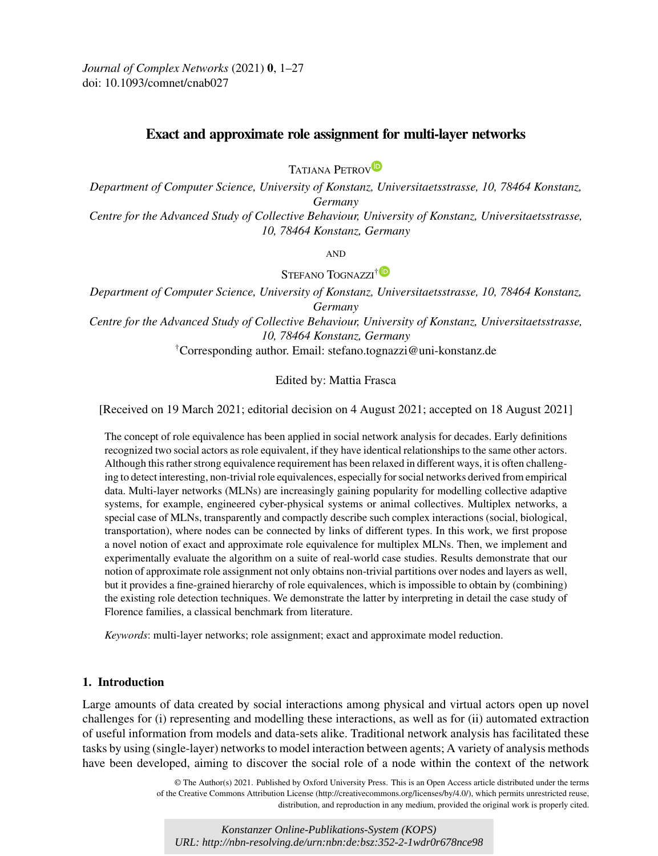<span id="page-0-0"></span>*Journal of Complex Networks* (2021) **0**, 1–27 doi: 10.1093/comnet/cnab027

# **Exact and approximate role assignment for multi-layer networks**

TATJANA PETROV<sup>D</sup>

*Department of Computer Science, University of Konstanz, Universitaetsstrasse, 10, 78464 Konstanz, Germany Centre for the Advanced Study of Collective Behaviour, University of Konstanz, Universitaetsstrasse,*

*10, 78464 Konstanz, Germany*

**AND** 

STEFANO TOGNAZZI<sup>[†](https://orcid.org/0000-0002-3557-2426) D</sup>

*Department of Computer Science, University of Konstanz, Universitaetsstrasse, 10, 78464 Konstanz, Germany*

*Centre for the Advanced Study of Collective Behaviour, University of Konstanz, Universitaetsstrasse, 10, 78464 Konstanz, Germany*

†Corresponding author. Email: stefano.tognazzi@uni-konstanz.de

# Edited by: Mattia Frasca

[Received on 19 March 2021; editorial decision on 4 August 2021; accepted on 18 August 2021]

The concept of role equivalence has been applied in social network analysis for decades. Early definitions recognized two social actors as role equivalent, if they have identical relationships to the same other actors. Although this rather strong equivalence requirement has been relaxed in different ways, it is often challenging to detect interesting, non-trivial role equivalences, especially for social networks derived from empirical data. Multi-layer networks (MLNs) are increasingly gaining popularity for modelling collective adaptive systems, for example, engineered cyber-physical systems or animal collectives. Multiplex networks, a special case of MLNs, transparently and compactly describe such complex interactions (social, biological, transportation), where nodes can be connected by links of different types. In this work, we first propose a novel notion of exact and approximate role equivalence for multiplex MLNs. Then, we implement and experimentally evaluate the algorithm on a suite of real-world case studies. Results demonstrate that our notion of approximate role assignment not only obtains non-trivial partitions over nodes and layers as well, but it provides a fine-grained hierarchy of role equivalences, which is impossible to obtain by (combining) the existing role detection techniques. We demonstrate the latter by interpreting in detail the case study of Florence families, a classical benchmark from literature.

*Keywords*: multi-layer networks; role assignment; exact and approximate model reduction.

## **1. Introduction**

Large amounts of data created by social interactions among physical and virtual actors open up novel challenges for (i) representing and modelling these interactions, as well as for (ii) automated extraction of useful information from models and data-sets alike. Traditional network analysis has facilitated these tasks by using (single-layer) networks to model interaction between agents; A variety of analysis methods have been developed, aiming to discover the social role of a node within the context of the network

> © The Author(s) 2021. Published by Oxford University Press. This is an Open Access article distributed under the terms of the Creative Commons Attribution License (http://creativecommons.org/licenses/by/4.0/), which permits unrestricted reuse, distribution, and reproduction in any medium, provided the original work is properly cited.

*Konstanzer Online-Publikations-System (KOPS) URL: http://nbn-resolving.de/urn:nbn:de:bsz:352-2-1wdr0r678nce98*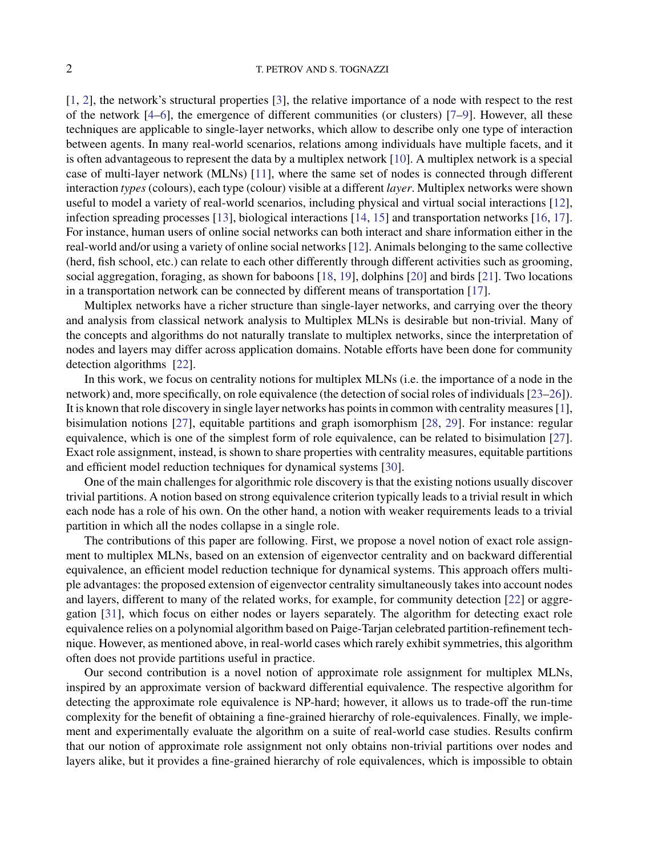[\[1](#page-21-0), [2](#page-21-0)], the network's structural properties [\[3\]](#page-21-0), the relative importance of a node with respect to the rest of the network [\[4–6](#page-21-0)], the emergence of different communities (or clusters) [\[7–9\]](#page-21-0). However, all these techniques are applicable to single-layer networks, which allow to describe only one type of interaction between agents. In many real-world scenarios, relations among individuals have multiple facets, and it is often advantageous to represent the data by a multiplex network [\[10\]](#page-21-0). A multiplex network is a special case of multi-layer network (MLNs) [\[11\]](#page-21-0), where the same set of nodes is connected through different interaction *types* (colours), each type (colour) visible at a different *layer*. Multiplex networks were shown useful to model a variety of real-world scenarios, including physical and virtual social interactions [\[12](#page-21-0)], infection spreading processes [\[13](#page-21-0)], biological interactions [\[14,](#page-21-0) [15\]](#page-21-0) and transportation networks [\[16,](#page-21-0) [17](#page-21-0)]. For instance, human users of online social networks can both interact and share information either in the real-world and/or using a variety of online social networks [\[12\]](#page-21-0). Animals belonging to the same collective (herd, fish school, etc.) can relate to each other differently through different activities such as grooming, social aggregation, foraging, as shown for baboons [\[18](#page-21-0), [19](#page-21-0)], dolphins [\[20](#page-21-0)] and birds [\[21](#page-22-0)]. Two locations in a transportation network can be connected by different means of transportation [\[17\]](#page-21-0).

Multiplex networks have a richer structure than single-layer networks, and carrying over the theory and analysis from classical network analysis to Multiplex MLNs is desirable but non-trivial. Many of the concepts and algorithms do not naturally translate to multiplex networks, since the interpretation of nodes and layers may differ across application domains. Notable efforts have been done for community detection algorithms [\[22\]](#page-22-0).

In this work, we focus on centrality notions for multiplex MLNs (i.e. the importance of a node in the network) and, more specifically, on role equivalence (the detection of social roles of individuals [\[23–26](#page-22-0)]). It is known that role discovery in single layer networks has points in common with centrality measures [\[1](#page-21-0)], bisimulation notions [\[27](#page-22-0)], equitable partitions and graph isomorphism [\[28,](#page-22-0) [29\]](#page-22-0). For instance: regular equivalence, which is one of the simplest form of role equivalence, can be related to bisimulation [\[27](#page-22-0)]. Exact role assignment, instead, is shown to share properties with centrality measures, equitable partitions and efficient model reduction techniques for dynamical systems [\[30\]](#page-22-0).

One of the main challenges for algorithmic role discovery is that the existing notions usually discover trivial partitions. A notion based on strong equivalence criterion typically leads to a trivial result in which each node has a role of his own. On the other hand, a notion with weaker requirements leads to a trivial partition in which all the nodes collapse in a single role.

The contributions of this paper are following. First, we propose a novel notion of exact role assignment to multiplex MLNs, based on an extension of eigenvector centrality and on backward differential equivalence, an efficient model reduction technique for dynamical systems. This approach offers multiple advantages: the proposed extension of eigenvector centrality simultaneously takes into account nodes and layers, different to many of the related works, for example, for community detection [\[22\]](#page-22-0) or aggregation [\[31\]](#page-22-0), which focus on either nodes or layers separately. The algorithm for detecting exact role equivalence relies on a polynomial algorithm based on Paige-Tarjan celebrated partition-refinement technique. However, as mentioned above, in real-world cases which rarely exhibit symmetries, this algorithm often does not provide partitions useful in practice.

Our second contribution is a novel notion of approximate role assignment for multiplex MLNs, inspired by an approximate version of backward differential equivalence. The respective algorithm for detecting the approximate role equivalence is NP-hard; however, it allows us to trade-off the run-time complexity for the benefit of obtaining a fine-grained hierarchy of role-equivalences. Finally, we implement and experimentally evaluate the algorithm on a suite of real-world case studies. Results confirm that our notion of approximate role assignment not only obtains non-trivial partitions over nodes and layers alike, but it provides a fine-grained hierarchy of role equivalences, which is impossible to obtain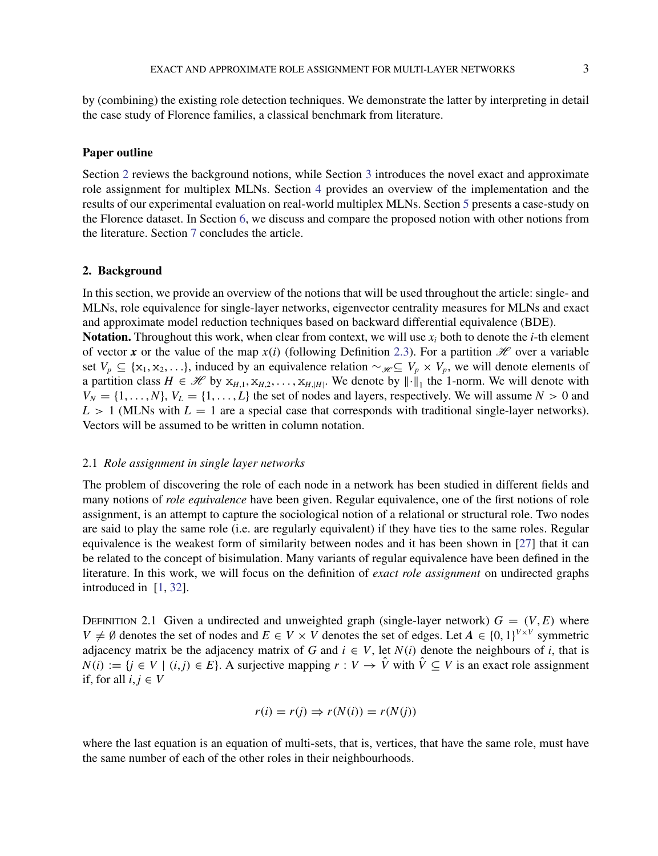<span id="page-2-0"></span>by (combining) the existing role detection techniques. We demonstrate the latter by interpreting in detail the case study of Florence families, a classical benchmark from literature.

## **Paper outline**

Section 2 reviews the background notions, while Section [3](#page-8-0) introduces the novel exact and approximate role assignment for multiplex MLNs. Section [4](#page-10-0) provides an overview of the implementation and the results of our experimental evaluation on real-world multiplex MLNs. Section [5](#page-14-0) presents a case-study on the Florence dataset. In Section [6,](#page-19-0) we discuss and compare the proposed notion with other notions from the literature. Section [7](#page-20-0) concludes the article.

# **2. Background**

In this section, we provide an overview of the notions that will be used throughout the article: single- and MLNs, role equivalence for single-layer networks, eigenvector centrality measures for MLNs and exact and approximate model reduction techniques based on backward differential equivalence (BDE).

**Notation.** Throughout this work, when clear from context, we will use  $x_i$  both to denote the *i*-th element of vector *x* or the value of the map  $x(i)$  (following Definition [2.3\)](#page-3-0). For a partition  $H$  over a variable set  $V_p \subseteq \{x_1, x_2, \ldots\}$ , induced by an equivalence relation  $\sim_{\mathcal{H}} \subseteq V_p \times V_p$ , we will denote elements of a partition class  $H \in \mathcal{H}$  by  $x_{H,1}, x_{H,2}, \ldots, x_{H,|H|}$ . We denote by  $\|\cdot\|_1$  the 1-norm. We will denote with  $V_N = \{1, \ldots, N\}$ ,  $V_L = \{1, \ldots, L\}$  the set of nodes and layers, respectively. We will assume  $N > 0$  and  $L > 1$  (MLNs with  $L = 1$  are a special case that corresponds with traditional single-layer networks). Vectors will be assumed to be written in column notation.

### 2.1 *Role assignment in single layer networks*

The problem of discovering the role of each node in a network has been studied in different fields and many notions of *role equivalence* have been given. Regular equivalence, one of the first notions of role assignment, is an attempt to capture the sociological notion of a relational or structural role. Two nodes are said to play the same role (i.e. are regularly equivalent) if they have ties to the same roles. Regular equivalence is the weakest form of similarity between nodes and it has been shown in [\[27\]](#page-22-0) that it can be related to the concept of bisimulation. Many variants of regular equivalence have been defined in the literature. In this work, we will focus on the definition of *exact role assignment* on undirected graphs introduced in [\[1](#page-21-0), [32](#page-22-0)].

DEFINITION 2.1 Given a undirected and unweighted graph (single-layer network)  $G = (V, E)$  where *V*  $\neq$  ∅ denotes the set of nodes and *E* ∈ *V* × *V* denotes the set of edges. Let *A* ∈ {0, 1}<sup>*V*×*V*</sup> symmetric adjacency matrix be the adjacency matrix of *G* and  $i \in V$ , let  $N(i)$  denote the neighbours of *i*, that is *N*(*i*) := {*j* ∈ *V* | (*i*, *j*) ∈ *E*}. A surjective mapping *r* : *V* →  $\hat{V}$  with  $\hat{V} \subseteq V$  is an exact role assignment if, for all  $i, j \in V$ 

$$
r(i) = r(j) \Rightarrow r(N(i)) = r(N(j))
$$

where the last equation is an equation of multi-sets, that is, vertices, that have the same role, must have the same number of each of the other roles in their neighbourhoods.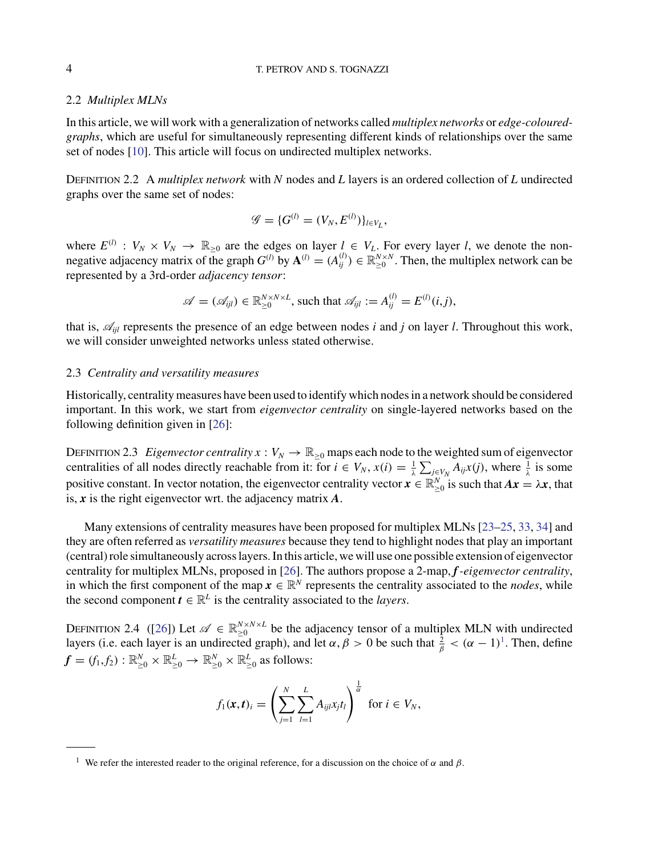# <span id="page-3-0"></span>2.2 *Multiplex MLNs*

In this article, we will work with a generalization of networks called *multiplex networks* or *edge-colouredgraphs*, which are useful for simultaneously representing different kinds of relationships over the same set of nodes [\[10](#page-21-0)]. This article will focus on undirected multiplex networks.

Definition 2.2 A *multiplex network* with *N* nodes and *L* layers is an ordered collection of *L* undirected graphs over the same set of nodes:

$$
\mathscr{G} = \{G^{(l)} = (V_N, E^{(l)})\}_{l \in V_L},
$$

where  $E^{(l)}: V_N \times V_N \to \mathbb{R}_{\geq 0}$  are the edges on layer  $l \in V_L$ . For every layer *l*, we denote the nonnegative adjacency matrix of the graph  $G^{(l)}$  by  $\mathbf{A}^{(l)} = (A_{ij}^{(l)}) \in \mathbb{R}_{\geq 0}^{N \times N}$ . Then, the multiplex network can be represented by a 3rd-order *adjacency tensor*:

$$
\mathscr{A} = (\mathscr{A}_{ijl}) \in \mathbb{R}_{\geq 0}^{N \times N \times L}
$$
, such that  $\mathscr{A}_{ijl} := A_{ij}^{(l)} = E^{(l)}(i,j)$ ,

that is,  $\mathcal{A}_{ii}$  represents the presence of an edge between nodes *i* and *j* on layer *l*. Throughout this work, we will consider unweighted networks unless stated otherwise.

#### 2.3 *Centrality and versatility measures*

Historically, centrality measures have been used to identify which nodes in a network should be considered important. In this work, we start from *eigenvector centrality* on single-layered networks based on the following definition given in [\[26](#page-22-0)]:

DEFINITION 2.3 *Eigenvector centrality*  $x : V_N \to \mathbb{R}_{\geq 0}$  maps each node to the weighted sum of eigenvector centralities of all nodes directly reachable from it: for  $i \in V_N$ ,  $x(i) = \frac{1}{\lambda} \sum_{j \in V_N} A_{ij}x(j)$ , where  $\frac{1}{\lambda}$  is some positive constant. In vector notation, the eigenvector centrality vector  $x \in \mathbb{R}_{\geq 0}^N$  is such that  $Ax = \lambda x$ , that is, *x* is the right eigenvector wrt. the adjacency matrix *A*.

Many extensions of centrality measures have been proposed for multiplex MLNs [\[23–25](#page-22-0), [33,](#page-22-0) [34](#page-22-0)] and they are often referred as *versatility measures* because they tend to highlight nodes that play an important (central) role simultaneously across layers. In this article, we will use one possible extension of eigenvector centrality for multiplex MLNs, proposed in [\[26\]](#page-22-0). The authors propose a 2-map, *f-eigenvector centrality*, in which the first component of the map  $x \in \mathbb{R}^N$  represents the centrality associated to the *nodes*, while the second component  $t \in \mathbb{R}^L$  is the centrality associated to the *layers*.

DEFINITION 2.4 ([\[26](#page-22-0)]) Let  $\mathscr{A} \in \mathbb{R}_{\geq 0}^{N \times N \times L}$  be the adjacency tensor of a multiplex MLN with undirected layers (i.e. each layer is an undirected graph), and let  $\alpha, \beta > 0$  be such that  $\frac{2}{\beta} < (\alpha - 1)^1$ . Then, define  $f = (f_1, f_2) : \mathbb{R}_{\geq 0}^N \times \mathbb{R}_{\geq 0}^L \to \mathbb{R}_{\geq 0}^N \times \mathbb{R}_{\geq 0}^L$  as follows:

$$
f_1(\mathbf{x}, t)_i = \left(\sum_{j=1}^N \sum_{l=1}^L A_{ijl} x_j t_l\right)^{\frac{1}{\alpha}} \text{ for } i \in V_N,
$$

<sup>&</sup>lt;sup>1</sup> We refer the interested reader to the original reference, for a discussion on the choice of  $\alpha$  and  $\beta$ .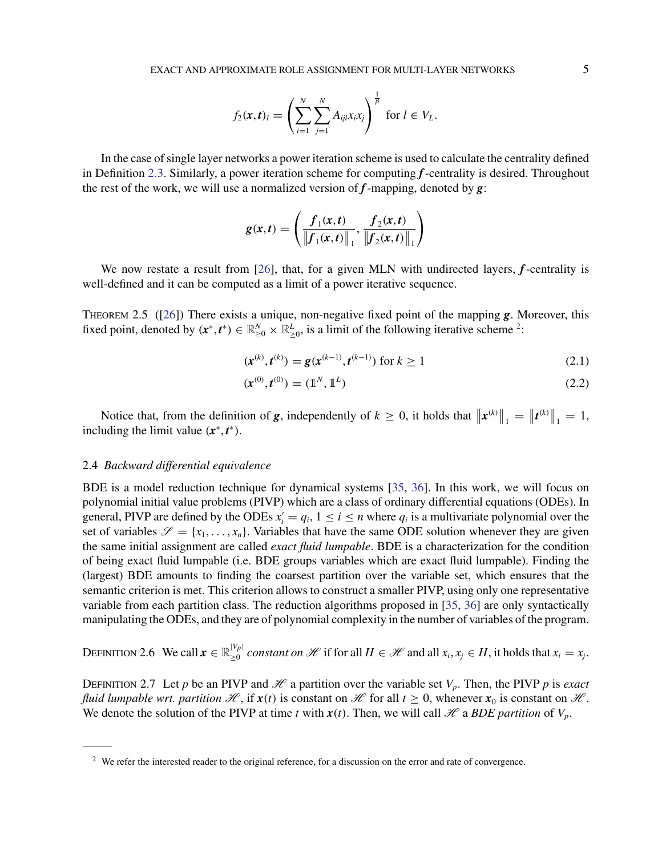$$
f_2(\mathbf{x},t)_l = \left(\sum_{i=1}^N \sum_{j=1}^N A_{ijl} x_i x_j\right)^{\frac{1}{\beta}} \text{ for } l \in V_L.
$$

<span id="page-4-0"></span>In the case of single layer networks a power iteration scheme is used to calculate the centrality defined in Definition [2.3.](#page-3-0) Similarly, a power iteration scheme for computing *f*-centrality is desired. Throughout the rest of the work, we will use a normalized version of *f*-mapping, denoted by *g*:

$$
g(x,t) = \left(\frac{f_1(x,t)}{\left\|f_1(x,t)\right\|_1}, \frac{f_2(x,t)}{\left\|f_2(x,t)\right\|_1}\right)
$$

We now restate a result from [\[26](#page-22-0)], that, for a given MLN with undirected layers, *f*-centrality is well-defined and it can be computed as a limit of a power iterative sequence.

Theorem 2.5 ([\[26\]](#page-22-0)) There exists a unique, non-negative fixed point of the mapping *g*. Moreover, this fixed point, denoted by  $(x^*, t^*) \in \mathbb{R}_{\geq 0}^N \times \mathbb{R}_{\geq 0}^L$ , is a limit of the following iterative scheme <sup>2</sup>:

$$
(\mathbf{x}^{(k)}, \mathbf{t}^{(k)}) = \mathbf{g}(\mathbf{x}^{(k-1)}, \mathbf{t}^{(k-1)}) \text{ for } k \ge 1
$$
 (2.1)

$$
(\mathbf{x}^{(0)}, \mathbf{t}^{(0)}) = (\mathbb{1}^N, \mathbb{1}^L) \tag{2.2}
$$

Notice that, from the definition of *g*, independently of  $k \ge 0$ , it holds that  $\|\mathbf{x}^{(k)}\|_1 = \|\mathbf{t}^{(k)}\|_1 = 1$ , including the limit value  $(x^*, t^*)$ .

#### 2.4 *Backward differential equivalence*

BDE is a model reduction technique for dynamical systems [\[35](#page-22-0), [36](#page-22-0)]. In this work, we will focus on polynomial initial value problems (PIVP) which are a class of ordinary differential equations (ODEs). In general, PIVP are defined by the ODEs  $x'_i = q_i$ ,  $1 \le i \le n$  where  $q_i$  is a multivariate polynomial over the set of variables  $\mathscr{S} = \{x_1, \ldots, x_n\}$ . Variables that have the same ODE solution whenever they are given the same initial assignment are called *exact fluid lumpable*. BDE is a characterization for the condition of being exact fluid lumpable (i.e. BDE groups variables which are exact fluid lumpable). Finding the (largest) BDE amounts to finding the coarsest partition over the variable set, which ensures that the semantic criterion is met. This criterion allows to construct a smaller PIVP, using only one representative variable from each partition class. The reduction algorithms proposed in [\[35,](#page-22-0) [36\]](#page-22-0) are only syntactically manipulating the ODEs, and they are of polynomial complexity in the number of variables of the program.

DEFINITION 2.6 We call 
$$
\mathbf{x} \in \mathbb{R}_{\geq 0}^{|V_p|}
$$
 constant on  $\mathcal{H}$  if for all  $H \in \mathcal{H}$  and all  $x_i, x_j \in H$ , it holds that  $x_i = x_j$ .

DEFINITION 2.7 Let *p* be an PIVP and  $\mathcal{H}$  a partition over the variable set  $V_p$ . Then, the PIVP *p* is *exact fluid lumpable wrt. partition*  $\mathcal{H}$ , if  $\mathbf{x}(t)$  is constant on  $\mathcal{H}$  for all  $t \geq 0$ , whenever  $\mathbf{x}_0$  is constant on  $\mathcal{H}$ . We denote the solution of the PIVP at time *t* with  $x(t)$ . Then, we will call  $\mathcal{H}$  a *BDE partition* of  $V_p$ .

<sup>&</sup>lt;sup>2</sup> We refer the interested reader to the original reference, for a discussion on the error and rate of convergence.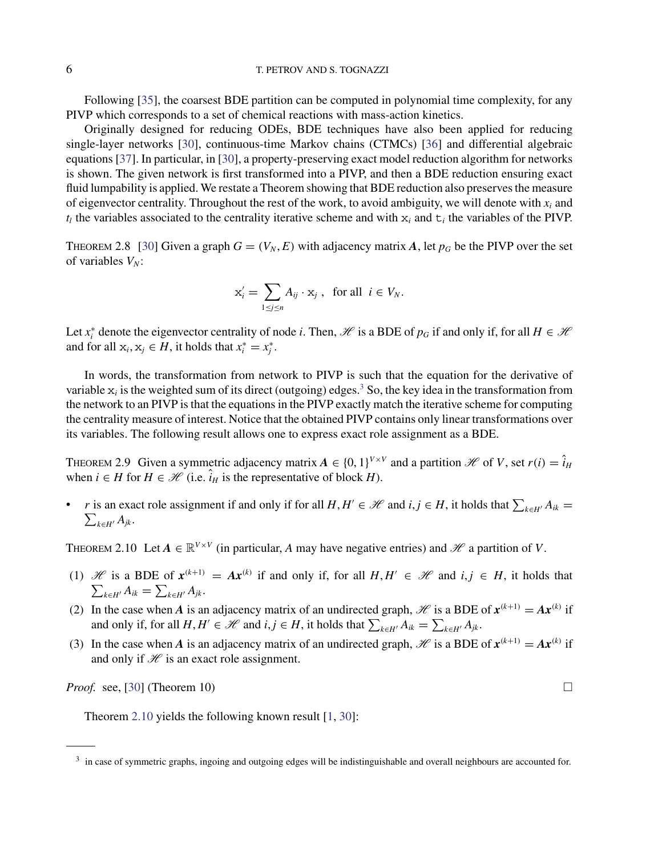<span id="page-5-0"></span>Following [\[35](#page-22-0)], the coarsest BDE partition can be computed in polynomial time complexity, for any PIVP which corresponds to a set of chemical reactions with mass-action kinetics.

Originally designed for reducing ODEs, BDE techniques have also been applied for reducing single-layer networks [\[30](#page-22-0)], continuous-time Markov chains (CTMCs) [\[36\]](#page-22-0) and differential algebraic equations [\[37](#page-22-0)]. In particular, in [\[30\]](#page-22-0), a property-preserving exact model reduction algorithm for networks is shown. The given network is first transformed into a PIVP, and then a BDE reduction ensuring exact fluid lumpability is applied. We restate a Theorem showing that BDE reduction also preserves the measure of eigenvector centrality. Throughout the rest of the work, to avoid ambiguity, we will denote with  $x_i$  and  $t_l$  the variables associated to the centrality iterative scheme and with  $x_i$  and  $t_i$  the variables of the PIVP.

THEOREM 2.8 [\[30\]](#page-22-0) Given a graph  $G = (V_N, E)$  with adjacency matrix A, let  $p_G$  be the PIVP over the set of variables  $V_N$ :

$$
\mathbf{x}'_i = \sum_{1 \le j \le n} A_{ij} \cdot \mathbf{x}_j \;, \text{ for all } i \in V_N.
$$

Let  $x_i^*$  denote the eigenvector centrality of node *i*. Then, H is a BDE of  $p_G$  if and only if, for all  $H \in \mathcal{H}$ and for all  $x_i, x_j \in H$ , it holds that  $x_i^* = x_j^*$ .

In words, the transformation from network to PIVP is such that the equation for the derivative of variable  $x_i$  is the weighted sum of its direct (outgoing) edges.<sup>3</sup> So, the key idea in the transformation from the network to an PIVP is that the equations in the PIVP exactly match the iterative scheme for computing the centrality measure of interest. Notice that the obtained PIVP contains only linear transformations over its variables. The following result allows one to express exact role assignment as a BDE.

THEOREM 2.9 Given a symmetric adjacency matrix  $A \in \{0, 1\}^{V \times V}$  and a partition H of *V*, set  $r(i) = \hat{i}_H$ when  $i \in H$  for  $H \in \mathcal{H}$  (i.e.  $\hat{i}_H$  is the representative of block *H*).

• *r* is an exact role assignment if and only if for all  $H, H' \in \mathcal{H}$  and  $i, j \in H$ , it holds that  $\sum_{k \in H'} A_{ik} =$  $\sum_{k\in H'}A_{jk}$ .

THEOREM 2.10 Let  $A \in \mathbb{R}^{V \times V}$  (in particular, A may have negative entries) and H a partition of V.

- (1) H is a BDE of  $x^{(k+1)} = Ax^{(k)}$  if and only if, for all  $H, H' \in \mathcal{H}$  and  $i, j \in H$ , it holds that  $\sum_{k \in H'} A_{ik} = \sum_{k \in H'} A_{jk}$ .
- (2) In the case when *A* is an adjacency matrix of an undirected graph,  $\mathcal{H}$  is a BDE of  $\mathbf{x}^{(k+1)} = A\mathbf{x}^{(k)}$  if and only if, for all  $H, H' \in \mathcal{H}$  and  $i, j \in H$ , it holds that  $\sum_{k \in H'} A_{ik} = \sum_{k \in H'} A_{jk}$ .
- (3) In the case when *A* is an adjacency matrix of an undirected graph,  $\mathcal{H}$  is a BDE of  $\mathbf{x}^{(k+1)} = A\mathbf{x}^{(k)}$  if and only if  $\mathcal H$  is an exact role assignment.

*Proof.* see, [\[30](#page-22-0)] (Theorem 10)  $\Box$ 

Theorem 2.10 yields the following known result [\[1](#page-21-0), [30](#page-22-0)]:

<sup>&</sup>lt;sup>3</sup> in case of symmetric graphs, ingoing and outgoing edges will be indistinguishable and overall neighbours are accounted for.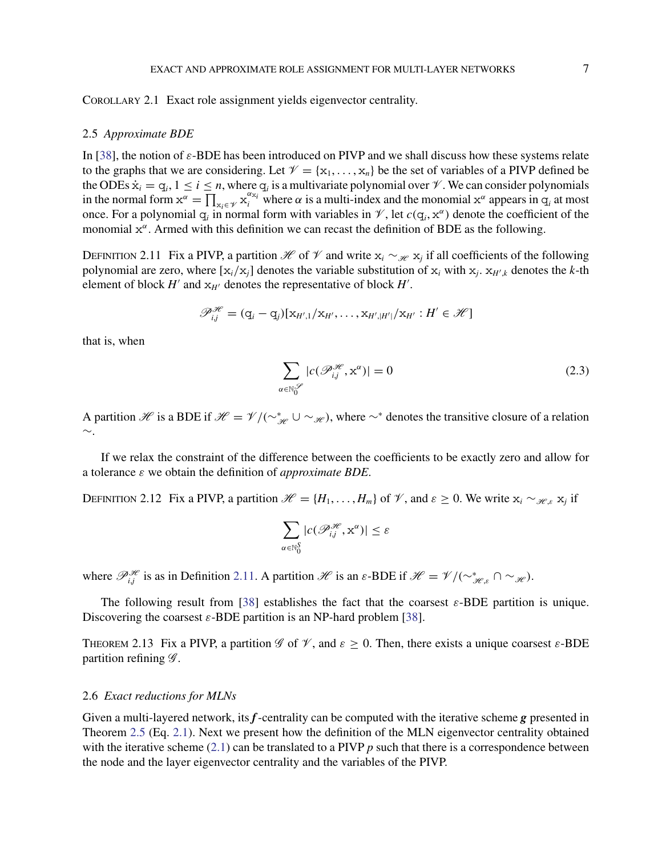<span id="page-6-0"></span>Corollary 2.1 Exact role assignment yields eigenvector centrality.

#### 2.5 *Approximate BDE*

In [\[38](#page-22-0)], the notion of  $\varepsilon$ -BDE has been introduced on PIVP and we shall discuss how these systems relate to the graphs that we are considering. Let  $\mathcal{V} = {\mathbf{x}_1, \dots, \mathbf{x}_n}$  be the set of variables of a PIVP defined be the ODEs  $\dot{x}_i = q_i$ ,  $1 \le i \le n$ , where  $q_i$  is a multivariate polynomial over  $\mathcal V$ . We can consider polynomials in the normal form  $x^{\alpha} = \prod_{x_i \in \mathcal{V}} x_i^{\alpha_{x_i}}$  where  $\alpha$  is a multi-index and the monomial  $x^{\alpha}$  appears in  $q_i$  at most once. For a polynomial  $q_i$  in normal form with variables in  $\mathcal V$ , let  $c(q_i, x^{\alpha})$  denote the coefficient of the monomial  $x^{\alpha}$ . Armed with this definition we can recast the definition of BDE as the following.

DEFINITION 2.11 Fix a PIVP, a partition H of V and write  $x_i \sim_{\mathcal{H}} x_j$  if all coefficients of the following polynomial are zero, where  $[x_i/x_j]$  denotes the variable substitution of  $x_i$  with  $x_i$ .  $x_{H/k}$  denotes the *k*-th element of block  $H'$  and  $x_{H'}$  denotes the representative of block  $H'$ .

$$
\mathscr{P}_{i,j}^{\mathscr{H}} = (q_i - q_j)[x_{H',1}/x_{H'}, \ldots, x_{H',|H'|}/x_{H'} : H' \in \mathscr{H}]
$$

that is, when

$$
\sum_{\alpha \in \mathbb{N}_0^{S'}} |c(\mathcal{P}_{ij}^{S\!\ell}, \mathbf{x}^{\alpha})| = 0
$$
\n(2.3)

A partition H is a BDE if  $\mathcal{H} = \mathcal{V}/(\sim_{\mathcal{H}}^* \cup \sim_{\mathcal{H}})$ , where  $\sim^*$  denotes the transitive closure of a relation ∼.

If we relax the constraint of the difference between the coefficients to be exactly zero and allow for a tolerance ε we obtain the definition of *approximate BDE*.

DEFINITION 2.12 Fix a PIVP, a partition  $\mathcal{H} = \{H_1, \ldots, H_m\}$  of  $\mathcal{V}$ , and  $\varepsilon \geq 0$ . We write  $x_i \sim_{\mathcal{H}\varepsilon} x_i$  if

$$
\sum_{\alpha \in \mathbb{N}_0^S} |c(\mathscr{P}_{i,j}^{\mathscr{H}}, \mathbf{x}^{\alpha})| \leq \varepsilon
$$

where  $\mathcal{P}_{ij}^{\mathcal{H}}$  is as in Definition 2.11. A partition  $\mathcal{H}$  is an  $\varepsilon$ -BDE if  $\mathcal{H} = \mathcal{V}/(\sim_{\mathcal{H},\varepsilon}^* \cap \sim_{\mathcal{H}})$ .

The following result from [\[38\]](#page-22-0) establishes the fact that the coarsest  $\varepsilon$ -BDE partition is unique. Discovering the coarsest  $\varepsilon$ -BDE partition is an NP-hard problem [\[38](#page-22-0)].

THEOREM 2.13 Fix a PIVP, a partition  $\mathscr G$  of  $\mathscr V$ , and  $\varepsilon \geq 0$ . Then, there exists a unique coarsest  $\varepsilon$ -BDE partition refining  $\mathscr{G}$ .

# 2.6 *Exact reductions for MLNs*

Given a multi-layered network, its *f*-centrality can be computed with the iterative scheme *g* presented in Theorem [2.5](#page-4-0) (Eq. [2.1\)](#page-4-0). Next we present how the definition of the MLN eigenvector centrality obtained with the iterative scheme  $(2.1)$  can be translated to a PIVP  $p$  such that there is a correspondence between the node and the layer eigenvector centrality and the variables of the PIVP.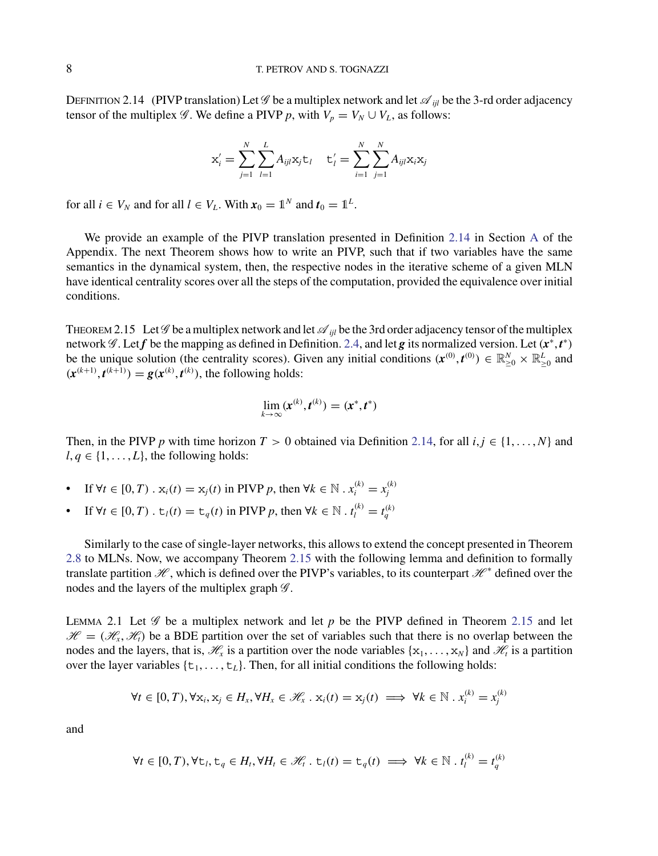<span id="page-7-0"></span>DEFINITION 2.14 (PIVP translation) Let  $\mathscr G$  be a multiplex network and let  $\mathscr A_{ii}$  be the 3-rd order adjacency tensor of the multiplex  $\mathscr G$ . We define a PIVP p, with  $V_p = V_N \cup V_l$ , as follows:

$$
\mathbf{x}'_i = \sum_{j=1}^N \sum_{l=1}^L A_{ijl} \mathbf{x}_j \mathbf{t}_l \quad \mathbf{t}'_l = \sum_{i=1}^N \sum_{j=1}^N A_{ijl} \mathbf{x}_i \mathbf{x}_j
$$

for all  $i \in V_N$  and for all  $l \in V_L$ . With  $x_0 = 1^N$  and  $t_0 = 1^L$ .

We provide an example of the PIVP translation presented in Definition [2.14](#page-6-0) in Section [A](#page-0-0) of the Appendix. The next Theorem shows how to write an PIVP, such that if two variables have the same semantics in the dynamical system, then, the respective nodes in the iterative scheme of a given MLN have identical centrality scores over all the steps of the computation, provided the equivalence over initial conditions.

THEOREM 2.15 Let  $\mathscr G$  be a multiplex network and let  $\mathscr A_{ijl}$  be the 3rd order adjacency tensor of the multiplex network  $\mathscr{G}$ . Let  $f$  be the mapping as defined in Definition. [2.4,](#page-3-0) and let  $g$  its normalized version. Let  $(x^*, t^*)$ be the unique solution (the centrality scores). Given any initial conditions  $(x^{(0)}, t^{(0)}) \in \mathbb{R}_{\geq 0}^N \times \mathbb{R}_{\geq 0}^L$  and  $(x^{(k+1)}, t^{(k+1)}) = g(x^{(k)}, t^{(k)})$ , the following holds:

$$
\lim_{k\to\infty}(\boldsymbol{x}^{(k)},\boldsymbol{t}^{(k)})=(\boldsymbol{x}^*,\boldsymbol{t}^*)
$$

Then, in the PIVP *p* with time horizon  $T > 0$  obtained via Definition [2.14,](#page-6-0) for all  $i, j \in \{1, \ldots, N\}$  and  $l, q \in \{1, \ldots, L\}$ , the following holds:

- If  $\forall t \in [0, T) \cdot x_i(t) = x_j(t)$  in PIVP *p*, then  $\forall k \in \mathbb{N} \cdot x_i^{(k)} = x_j^{(k)}$
- If  $\forall t \in [0, T)$ .  $\forall t \in [0, T)$  and  $\forall t \in \mathbb{N}$ . *t*<sub>[</sub>*k*] = *t*<sub>*g*</sub><sup>*(k*)</sup>)

Similarly to the case of single-layer networks, this allows to extend the concept presented in Theorem [2.8](#page-5-0) to MLNs. Now, we accompany Theorem 2.15 with the following lemma and definition to formally translate partition  $\mathcal{H}$ , which is defined over the PIVP's variables, to its counterpart  $\mathcal{H}^*$  defined over the nodes and the layers of the multiplex graph  $\mathscr{G}$ .

LEMMA 2.1 Let  $\mathscr G$  be a multiplex network and let p be the PIVP defined in Theorem 2.15 and let  $\mathscr{H} = (\mathscr{H}_x, \mathscr{H}_t)$  be a BDE partition over the set of variables such that there is no overlap between the nodes and the layers, that is,  $\mathcal{H}_x$  is a partition over the node variables  $\{x_1, \ldots, x_N\}$  and  $\mathcal{H}_t$  is a partition over the layer variables  $\{t_1, \ldots, t_L\}$ . Then, for all initial conditions the following holds:

$$
\forall t \in [0, T), \forall \mathbf{x}_i, \mathbf{x}_j \in H_x, \forall H_x \in \mathcal{H}_x \ . \ \mathbf{x}_i(t) = \mathbf{x}_j(t) \implies \forall k \in \mathbb{N} \ . \ x_i^{(k)} = x_j^{(k)}
$$

and

$$
\forall t \in [0, T), \forall t_i, t_q \in H_i, \forall H_i \in \mathcal{H}_i \cdot t_i(t) = t_q(t) \implies \forall k \in \mathbb{N} \cdot t_i^{(k)} = t_q^{(k)}
$$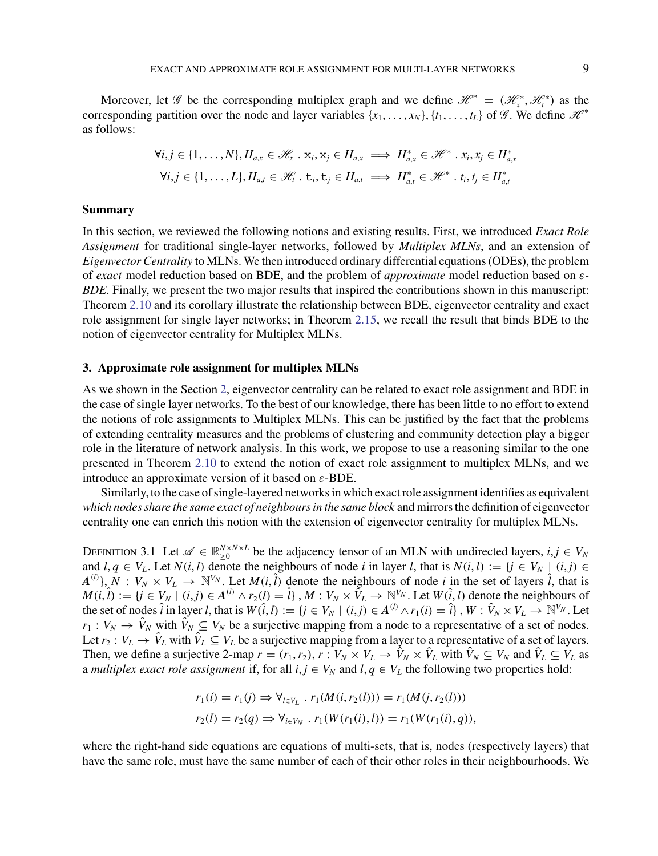<span id="page-8-0"></span>Moreover, let *G* be the corresponding multiplex graph and we define  $\mathcal{H}^* = (\mathcal{H}^*_x, \mathcal{H}^*_t)$  as the corresponding partition over the node and layer variables  $\{x_1, \ldots, x_N\}$ ,  $\{t_1, \ldots, t_l\}$  of  $\mathscr{G}$ . We define  $\mathscr{H}^*$ as follows:

$$
\forall i, j \in \{1, \ldots, N\}, H_{a,x} \in \mathcal{H}_x \cdot \mathbf{x}_i, \mathbf{x}_j \in H_{a,x} \implies H_{a,x}^* \in \mathcal{H}^* \cdot \mathbf{x}_i, \mathbf{x}_j \in H_{a,x}^*
$$
  

$$
\forall i, j \in \{1, \ldots, L\}, H_{a,t} \in \mathcal{H}_t \cdot \mathbf{t}_i, \mathbf{t}_j \in H_{a,t} \implies H_{a,t}^* \in \mathcal{H}^* \cdot \mathbf{t}_i, \mathbf{t}_j \in H_{a,t}^*
$$

#### **Summary**

In this section, we reviewed the following notions and existing results. First, we introduced *Exact Role Assignment* for traditional single-layer networks, followed by *Multiplex MLNs*, and an extension of *Eigenvector Centrality* to MLNs. We then introduced ordinary differential equations (ODEs), the problem of *exact* model reduction based on BDE, and the problem of *approximate* model reduction based on ε*-BDE*. Finally, we present the two major results that inspired the contributions shown in this manuscript: Theorem [2.10](#page-5-0) and its corollary illustrate the relationship between BDE, eigenvector centrality and exact role assignment for single layer networks; in Theorem [2.15,](#page-7-0) we recall the result that binds BDE to the notion of eigenvector centrality for Multiplex MLNs.

#### **3. Approximate role assignment for multiplex MLNs**

As we shown in the Section [2,](#page-2-0) eigenvector centrality can be related to exact role assignment and BDE in the case of single layer networks. To the best of our knowledge, there has been little to no effort to extend the notions of role assignments to Multiplex MLNs. This can be justified by the fact that the problems of extending centrality measures and the problems of clustering and community detection play a bigger role in the literature of network analysis. In this work, we propose to use a reasoning similar to the one presented in Theorem [2.10](#page-5-0) to extend the notion of exact role assignment to multiplex MLNs, and we introduce an approximate version of it based on  $\varepsilon$ -BDE.

Similarly, to the case of single-layered networks in which exact role assignment identifies as equivalent *which nodes share the same exact of neighbours in the same block* and mirrors the definition of eigenvector centrality one can enrich this notion with the extension of eigenvector centrality for multiplex MLNs.

DEFINITION 3.1 Let  $\mathscr{A} \in \mathbb{R}_{\geq 0}^{N \times N \times L}$  be the adjacency tensor of an MLN with undirected layers,  $i, j \in V_N$ and  $l, q \in V_L$ . Let  $N(i, l)$  denote the neighbours of node *i* in layer *l*, that is  $N(i, l) := \{j \in V_N \mid (i, j) \in I \}$  $A^{(l)}$ ,  $N: V_N \times V_L \to \mathbb{N}^{V_N}$ . Let  $M(i, \tilde{l})$  denote the neighbours of node *i* in the set of layers  $\hat{l}$ , that is  $M(i, \hat{l}) := \{j \in V_N \mid (i, j) \in A^{(l)} \land r_2(l) = \hat{l}\}\, , M : V_N \times \tilde{V}_L \to \mathbb{N}^{V_N}$ . Let  $W(\hat{i}, l)$  denote the neighbours of the set of nodes  $\hat{i}$  in layer l, that is  $W(\hat{i}, l) := \{j \in V_N \mid (i, j) \in A^{(l)} \wedge r_1(i) = \hat{i}\}, W : \hat{V}_N \times V_L \to \mathbb{N}^{V_N}$ . Let  $r_1 : V_N \to \hat{V}_N$  with  $\hat{V}_N \subseteq V_N$  be a surjective mapping from a node to a representative of a set of nodes. Let  $r_2 : V_L \to \hat{V}_L$  with  $\hat{V}_L \subseteq V_L$  be a surjective mapping from a layer to a representative of a set of layers. Then, we define a surjective 2-map  $r = (r_1, r_2), r : V_N \times V_L \to \hat{V}_N \times \hat{V}_L$  with  $\hat{V}_N \subseteq V_N$  and  $\hat{V}_L \subseteq V_L$  as a *multiplex exact role assignment* if, for all  $i, j \in V_N$  and  $l, q \in V_L$  the following two properties hold:

$$
r_1(i) = r_1(j) \Rightarrow \forall_{l \in V_L} \, . \, r_1(M(i, r_2(l))) = r_1(M(j, r_2(l)))
$$
  

$$
r_2(l) = r_2(q) \Rightarrow \forall_{i \in V_N} \, . \, r_1(W(r_1(i), l)) = r_1(W(r_1(i), q)),
$$

where the right-hand side equations are equations of multi-sets, that is, nodes (respectively layers) that have the same role, must have the same number of each of their other roles in their neighbourhoods. We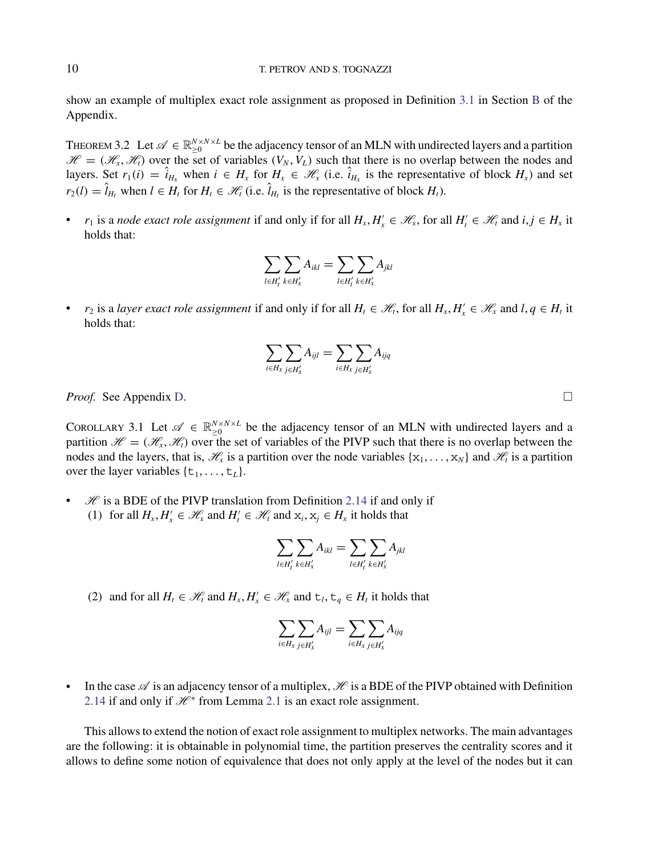<span id="page-9-0"></span>show an example of multiplex exact role assignment as proposed in Definition [3.1](#page-8-0) in Section [B](#page-2-0) of the Appendix.

THEOREM 3.2 Let  $\mathscr{A} \in \mathbb{R}_{\geq 0}^{N \times N \times L}$  be the adjacency tensor of an MLN with undirected layers and a partition  $\mathcal{H} = (\mathcal{H}_x, \mathcal{H}_t)$  over the set of variables  $(V_N, V_L)$  such that there is no overlap between the nodes and layers. Set  $r_1(i) = i_{H_x}$  when  $i \in H_x$  for  $H_x \in \mathcal{H}_x$  (i.e.  $i_{H_x}$  is the representative of block  $H_x$ ) and set  $r_2(l) = \hat{l}_{H_t}$  when  $l \in H_t$  for  $H_t \in \mathcal{H}_t$  (i.e.  $\hat{l}_{H_t}$  is the representative of block  $H_t$ ).

• *r*<sub>1</sub> is a *node exact role assignment* if and only if for all  $H_x, H'_x \in \mathcal{H}_x$ , for all  $H'_t \in \mathcal{H}_t$  and  $i, j \in H_x$  it holds that:

$$
\sum_{l\in H'_t}\sum_{k\in H'_x}A_{ikl}=\sum_{l\in H'_t}\sum_{k\in H'_x}A_{jkl}
$$

• *r*<sub>2</sub> is a *layer exact role assignment* if and only if for all  $H_t \in \mathcal{H}_t$ , for all  $H_x, H'_x \in \mathcal{H}_x$  and  $l, q \in H_t$  it holds that:

$$
\sum_{i\in H_x}\sum_{j\in H'_x}A_{ijl}=\sum_{i\in H_x}\sum_{j\in H'_x}A_{ijq}
$$

*Proof.* See Appendix [D.](#page-10-0)

COROLLARY 3.1 Let  $\mathscr{A} \in \mathbb{R}_{\geq 0}^{N \times N \times L}$  be the adjacency tensor of an MLN with undirected layers and a partition  $\mathcal{H} = (\mathcal{H}_x, \mathcal{H}_t)$  over the set of variables of the PIVP such that there is no overlap between the nodes and the layers, that is,  $\mathcal{H}_x$  is a partition over the node variables  $\{x_1, \ldots, x_N\}$  and  $\mathcal{H}_t$  is a partition over the layer variables  $\{t_1, \ldots, t_L\}$ .

•  $\mathcal H$  is a BDE of the PIVP translation from Definition [2.14](#page-6-0) if and only if (1) for all  $H_x, H'_x \in \mathcal{H}_x$  and  $H'_t \in \mathcal{H}_t$  and  $x_i, x_j \in H_x$  it holds that

$$
\sum_{l\in H'_t}\sum_{k\in H'_x}A_{ikl}=\sum_{l\in H'_t}\sum_{k\in H'_x}A_{jkl}
$$

(2) and for all  $H_t \in \mathcal{H}_t$  and  $H_x, H'_x \in \mathcal{H}_x$  and  $t_t, t_q \in H_t$  it holds that

$$
\sum_{i\in H_x}\sum_{j\in H'_x}A_{ijl}=\sum_{i\in H_x}\sum_{j\in H'_x}A_{ijq}
$$

• In the case  $\mathscr A$  is an adjacency tensor of a multiplex,  $\mathscr H$  is a BDE of the PIVP obtained with Definition [2.14](#page-6-0) if and only if  $\mathcal{H}^*$  from Lemma [2.1](#page-7-0) is an exact role assignment.

This allows to extend the notion of exact role assignment to multiplex networks. The main advantages are the following: it is obtainable in polynomial time, the partition preserves the centrality scores and it allows to define some notion of equivalence that does not only apply at the level of the nodes but it can

 $\Box$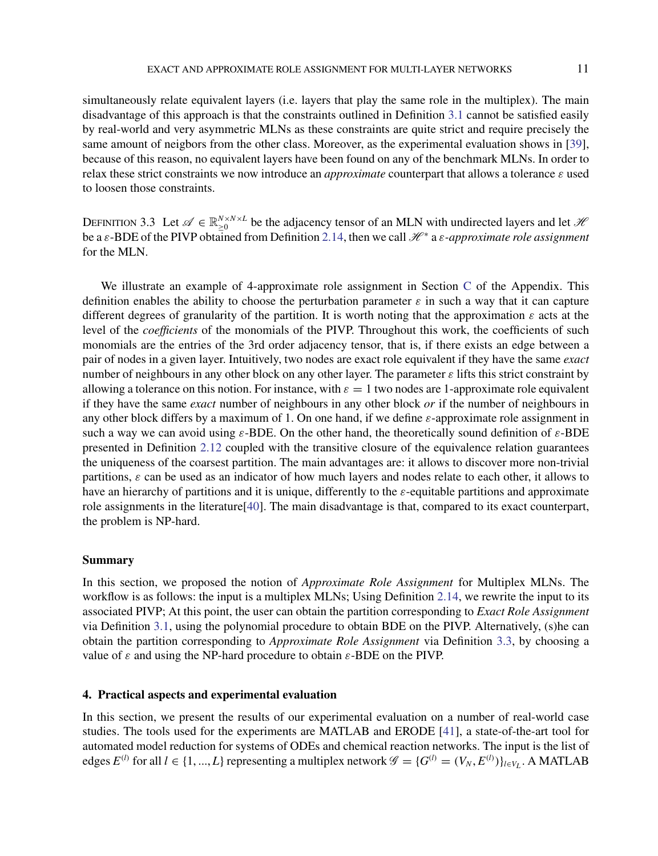<span id="page-10-0"></span>simultaneously relate equivalent layers (i.e. layers that play the same role in the multiplex). The main disadvantage of this approach is that the constraints outlined in Definition [3.1](#page-8-0) cannot be satisfied easily by real-world and very asymmetric MLNs as these constraints are quite strict and require precisely the same amount of neigbors from the other class. Moreover, as the experimental evaluation shows in [\[39\]](#page-22-0), because of this reason, no equivalent layers have been found on any of the benchmark MLNs. In order to relax these strict constraints we now introduce an *approximate* counterpart that allows a tolerance ε used to loosen those constraints.

DEFINITION 3.3 Let  $\mathscr{A} \in \mathbb{R}_{\geq 0}^{N \times N \times L}$  be the adjacency tensor of an MLN with undirected layers and let  $\mathscr{H}$ be a ε-BDE of the PIVP obtained from Definition [2.14,](#page-6-0) then we call  $H^*$  a ε-approximate role assignment for the MLN.

We illustrate an example of 4-approximate role assignment in Section [C](#page-8-0) of the Appendix. This definition enables the ability to choose the perturbation parameter  $\varepsilon$  in such a way that it can capture different degrees of granularity of the partition. It is worth noting that the approximation  $\varepsilon$  acts at the level of the *coefficients* of the monomials of the PIVP. Throughout this work, the coefficients of such monomials are the entries of the 3rd order adjacency tensor, that is, if there exists an edge between a pair of nodes in a given layer. Intuitively, two nodes are exact role equivalent if they have the same *exact* number of neighbours in any other block on any other layer. The parameter  $\varepsilon$  lifts this strict constraint by allowing a tolerance on this notion. For instance, with  $\varepsilon = 1$  two nodes are 1-approximate role equivalent if they have the same *exact* number of neighbours in any other block *or* if the number of neighbours in any other block differs by a maximum of 1. On one hand, if we define  $\varepsilon$ -approximate role assignment in such a way we can avoid using  $\varepsilon$ -BDE. On the other hand, the theoretically sound definition of  $\varepsilon$ -BDE presented in Definition [2.12](#page-6-0) coupled with the transitive closure of the equivalence relation guarantees the uniqueness of the coarsest partition. The main advantages are: it allows to discover more non-trivial partitions,  $\varepsilon$  can be used as an indicator of how much layers and nodes relate to each other, it allows to have an hierarchy of partitions and it is unique, differently to the  $\varepsilon$ -equitable partitions and approximate role assignments in the literature[\[40](#page-22-0)]. The main disadvantage is that, compared to its exact counterpart, the problem is NP-hard.

#### **Summary**

In this section, we proposed the notion of *Approximate Role Assignment* for Multiplex MLNs. The workflow is as follows: the input is a multiplex MLNs; Using Definition [2.14,](#page-6-0) we rewrite the input to its associated PIVP; At this point, the user can obtain the partition corresponding to *Exact Role Assignment* via Definition [3.1,](#page-8-0) using the polynomial procedure to obtain BDE on the PIVP. Alternatively, (s)he can obtain the partition corresponding to *Approximate Role Assignment* via Definition 3.3, by choosing a value of  $\varepsilon$  and using the NP-hard procedure to obtain  $\varepsilon$ -BDE on the PIVP.

# **4. Practical aspects and experimental evaluation**

In this section, we present the results of our experimental evaluation on a number of real-world case studies. The tools used for the experiments are MATLAB and ERODE [\[41\]](#page-22-0), a state-of-the-art tool for automated model reduction for systems of ODEs and chemical reaction networks. The input is the list of edges  $E^{(l)}$  for all  $l \in \{1, ..., L\}$  representing a multiplex network  $\mathscr{G} = \{G^{(l)} = (V_N, E^{(l)})\}_{l \in V_L}$ . A MATLAB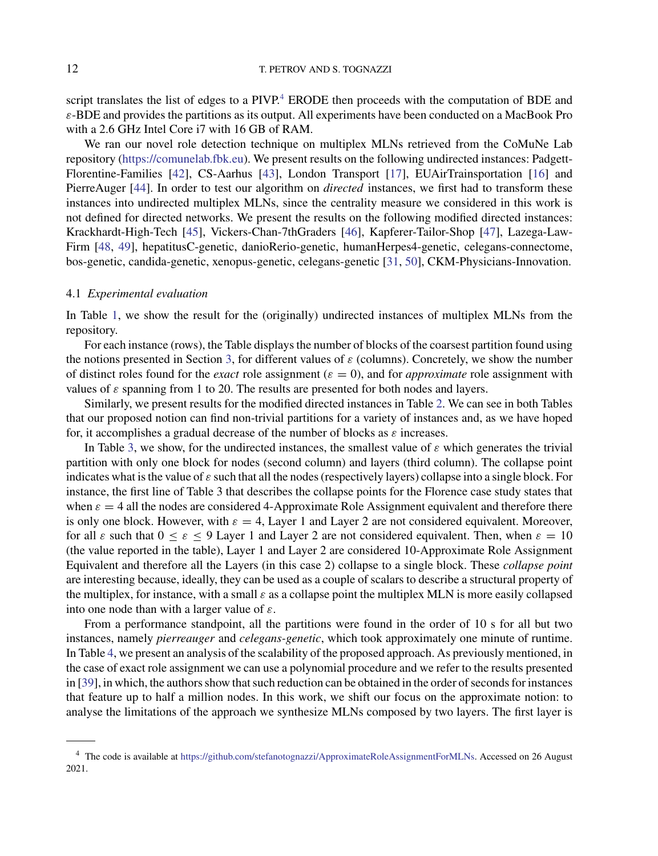script translates the list of edges to a PIVP.<sup>4</sup> ERODE then proceeds with the computation of BDE and  $\varepsilon$ -BDE and provides the partitions as its output. All experiments have been conducted on a MacBook Pro with a 2.6 GHz Intel Core i7 with 16 GB of RAM.

We ran our novel role detection technique on multiplex MLNs retrieved from the CoMuNe Lab repository [\(https://comunelab.fbk.eu\)](https://comunelab.fbk.eu). We present results on the following undirected instances: Padgett-Florentine-Families [\[42\]](#page-22-0), CS-Aarhus [\[43\]](#page-22-0), London Transport [\[17](#page-21-0)], EUAirTrainsportation [\[16\]](#page-21-0) and PierreAuger [\[44\]](#page-23-0). In order to test our algorithm on *directed* instances, we first had to transform these instances into undirected multiplex MLNs, since the centrality measure we considered in this work is not defined for directed networks. We present the results on the following modified directed instances: Krackhardt-High-Tech [\[45\]](#page-23-0), Vickers-Chan-7thGraders [\[46\]](#page-23-0), Kapferer-Tailor-Shop [\[47\]](#page-23-0), Lazega-Law-Firm [\[48](#page-23-0), [49](#page-23-0)], hepatitusC-genetic, danioRerio-genetic, humanHerpes4-genetic, celegans-connectome, bos-genetic, candida-genetic, xenopus-genetic, celegans-genetic [\[31,](#page-22-0) [50\]](#page-23-0), CKM-Physicians-Innovation.

## 4.1 *Experimental evaluation*

In Table [1,](#page-12-0) we show the result for the (originally) undirected instances of multiplex MLNs from the repository.

For each instance (rows), the Table displays the number of blocks of the coarsest partition found using the notions presented in Section [3,](#page-8-0) for different values of  $\varepsilon$  (columns). Concretely, we show the number of distinct roles found for the *exact* role assignment ( $\varepsilon = 0$ ), and for *approximate* role assignment with values of  $\varepsilon$  spanning from 1 to 20. The results are presented for both nodes and layers.

Similarly, we present results for the modified directed instances in Table [2.](#page-13-0) We can see in both Tables that our proposed notion can find non-trivial partitions for a variety of instances and, as we have hoped for, it accomplishes a gradual decrease of the number of blocks as  $\varepsilon$  increases.

In Table [3,](#page-14-0) we show, for the undirected instances, the smallest value of  $\varepsilon$  which generates the trivial partition with only one block for nodes (second column) and layers (third column). The collapse point indicates what is the value of  $\varepsilon$  such that all the nodes (respectively layers) collapse into a single block. For instance, the first line of Table 3 that describes the collapse points for the Florence case study states that when  $\varepsilon = 4$  all the nodes are considered 4-Approximate Role Assignment equivalent and therefore there is only one block. However, with  $\varepsilon = 4$ , Layer 1 and Layer 2 are not considered equivalent. Moreover, for all  $\varepsilon$  such that  $0 \le \varepsilon \le 9$  Layer 1 and Layer 2 are not considered equivalent. Then, when  $\varepsilon = 10$ (the value reported in the table), Layer 1 and Layer 2 are considered 10-Approximate Role Assignment Equivalent and therefore all the Layers (in this case 2) collapse to a single block. These *collapse point* are interesting because, ideally, they can be used as a couple of scalars to describe a structural property of the multiplex, for instance, with a small  $\varepsilon$  as a collapse point the multiplex MLN is more easily collapsed into one node than with a larger value of  $\varepsilon$ .

From a performance standpoint, all the partitions were found in the order of 10 s for all but two instances, namely *pierreauger* and *celegans-genetic*, which took approximately one minute of runtime. In Table [4,](#page-14-0) we present an analysis of the scalability of the proposed approach. As previously mentioned, in the case of exact role assignment we can use a polynomial procedure and we refer to the results presented in [\[39](#page-22-0)], in which, the authors show that such reduction can be obtained in the order of seconds for instances that feature up to half a million nodes. In this work, we shift our focus on the approximate notion: to analyse the limitations of the approach we synthesize MLNs composed by two layers. The first layer is

<sup>4</sup> The code is available at [https://github.com/stefanotognazzi/ApproximateRoleAssignmentForMLNs.](https://github.com/stefanotognazzi/ApproximateRoleAssignmentForMLNs) Accessed on 26 August 2021.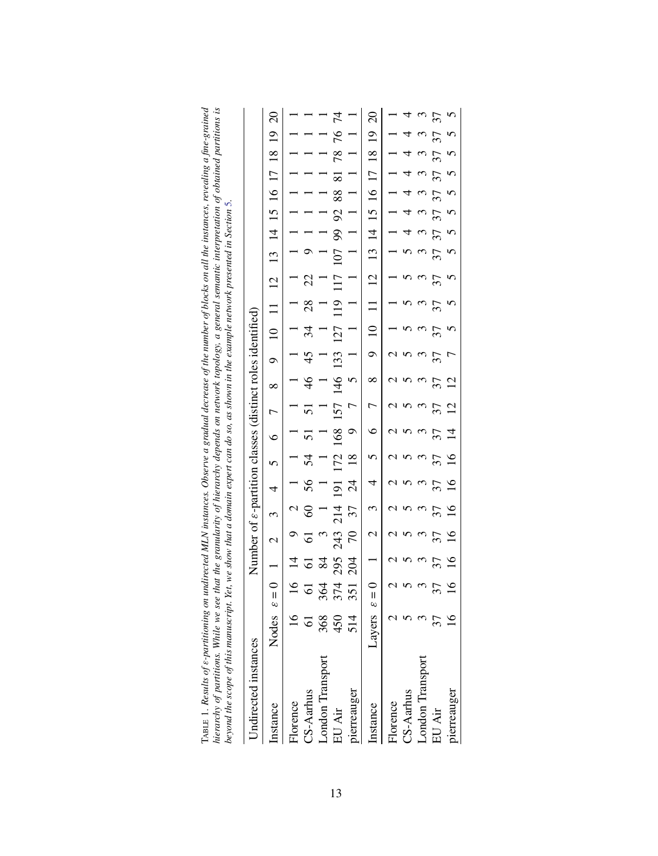<span id="page-12-0"></span>

| TABLE 1. Results of e-partitioning on undirected MLN instances. Observe a gradual decrease of the number of blocks on all the instances, revealing a fine-grained<br>hierarchy of partitions. While we see that the granularity of hierarchy depends on network topology, a general semantic interpretation of obtained partitions is |                                                                                                |
|---------------------------------------------------------------------------------------------------------------------------------------------------------------------------------------------------------------------------------------------------------------------------------------------------------------------------------------|------------------------------------------------------------------------------------------------|
| beyond the scope of this manuscript. Yet, we show that a domain expert can do so, as shown in the example network presented in Section 5.                                                                                                                                                                                             | Number of $\varepsilon$ -partition classes (distinct roles identified)<br>Undirected instances |

| Undirected instances    |                                                                            |                |                |                       | Number of $\varepsilon$ -partition classes (distinct roles identified) |                |                |                          |                 |                                 |                |                     |                |                                                          |                      |                |                     |                |                |                |                |
|-------------------------|----------------------------------------------------------------------------|----------------|----------------|-----------------------|------------------------------------------------------------------------|----------------|----------------|--------------------------|-----------------|---------------------------------|----------------|---------------------|----------------|----------------------------------------------------------|----------------------|----------------|---------------------|----------------|----------------|----------------|----------------|
| nstance                 | Nodes $\varepsilon = 0$ 1 2 3 4 5 6 7 8 9 10 11 12 13 14 15 16 17 18 19 20 |                |                |                       |                                                                        |                |                |                          |                 |                                 |                |                     |                |                                                          |                      |                |                     |                |                |                |                |
| Florence                |                                                                            |                | $\frac{4}{3}$  | $\circ$               | $\sim$                                                                 | $\frac{1}{1}$  |                | $\overline{1}$           |                 | $\overline{a}$                  |                | $1 \quad 1 \quad 1$ |                | 111111111                                                |                      |                |                     |                |                |                |                |
| CS-Aarhus               |                                                                            |                | $\overline{6}$ | 61                    | 60                                                                     | 56             | $\overline{5}$ | $\overline{51}$          | $\overline{51}$ | 46                              | 45             | 34                  | 28             | $22$ 9                                                   |                      |                | 1 1 1 1 1 1 1       |                |                |                |                |
| <b>London Transport</b> | 368                                                                        | 364            | $\frac{8}{4}$  | $\tilde{\phantom{0}}$ |                                                                        | $\overline{a}$ |                | $\overline{a}$           | Ξ               | $\overline{a}$                  |                |                     |                |                                                          |                      |                |                     |                |                |                |                |
| EU Air                  | 450                                                                        | 374            | 295            | 243                   | 214                                                                    | 191            |                |                          |                 |                                 |                |                     |                | 172 168 157 146 133 127 119 117 107 99 92 88 81 78 76 74 |                      |                |                     |                |                |                |                |
| pierreauger             | $\frac{4}{1}$                                                              | 351            | 204            |                       | 70 37 24 18                                                            |                |                |                          |                 |                                 |                |                     |                | 9 7 5 1 1 1 1 1 1 1 1 1 1 1                              |                      |                |                     |                |                |                |                |
| Instance                | Layers $\varepsilon = 0$ 1 2 3 4 5                                         |                |                |                       |                                                                        |                |                | $\circ$                  | $7 \times$      |                                 |                |                     |                | 9 10 11 12 13 14 15 16 17 18 19 20                       |                      |                |                     |                |                |                |                |
| Florence                |                                                                            |                |                |                       |                                                                        | $\mathfrak{g}$ |                | $\mathfrak{g}$           | $\mathcal{L}$   | $\mathfrak{a}$                  | $\mathfrak{a}$ | $\overline{a}$      | $\overline{a}$ |                                                          |                      |                | $1 \quad 1 \quad 1$ |                | $\overline{a}$ |                |                |
| CS-Aarhus               |                                                                            |                |                |                       |                                                                        |                |                |                          |                 |                                 |                |                     |                |                                                          |                      | $\overline{a}$ | $\overline{a}$      | $\overline{a}$ | $\overline{a}$ | $\overline{a}$ |                |
| London 1                |                                                                            |                |                |                       |                                                                        |                |                |                          |                 |                                 |                |                     |                |                                                          |                      |                |                     |                | $\mathfrak{c}$ |                |                |
| EU Air                  |                                                                            |                |                | 37                    | 37                                                                     | 37             | 37             | $\overline{\mathcal{E}}$ | $\overline{37}$ | $7 \t37 \t37$<br>$12 \t7$<br>37 |                | 37                  | 37             | 37                                                       | 37 37 37 37 37 37 37 |                |                     |                |                |                | 37             |
| pierreauger             |                                                                            | $\overline{6}$ |                | $\frac{16}{1}$        | $\frac{16}{1}$                                                         | 16 16          |                | 14 12                    |                 |                                 |                |                     |                |                                                          | $\tilde{S}$          | $\tilde{S}$    | $5\quad 5$          |                |                | $\overline{c}$ | $\overline{C}$ |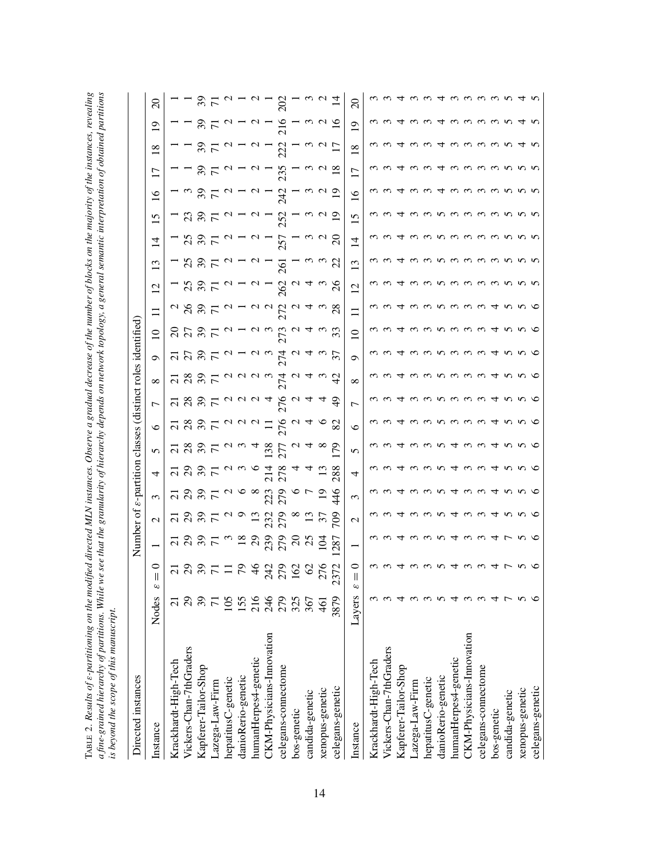<span id="page-13-0"></span>

| r va c<br>$\overline{\phantom{a}}$    | ļ<br>ׇ֧֦֧֦֧֦<br>rior |        |
|---------------------------------------|----------------------|--------|
|                                       |                      |        |
|                                       | ht ains a            |        |
|                                       |                      |        |
| $\overline{\phantom{a}}$              |                      |        |
| $\cdots$ and $m\mu\mu\ldots$<br>nu ne |                      |        |
|                                       |                      |        |
| and the number of blocks on the       |                      |        |
|                                       |                      |        |
|                                       | Ĭ                    |        |
|                                       |                      |        |
|                                       |                      |        |
| uu u                                  | in an                |        |
|                                       | ĺ<br>י<br>וואס       |        |
|                                       |                      |        |
| I                                     | r ninner.            |        |
|                                       | i<br>.               |        |
|                                       |                      |        |
|                                       |                      |        |
|                                       |                      |        |
|                                       |                      |        |
|                                       | rttttons. Whil       | j      |
| ing on th                             | ļ<br>Š               | i<br>١ |
| l<br>i                                |                      |        |
|                                       | The state of the co- |        |
|                                       |                      | ţ<br>١ |
|                                       |                      |        |
| <br> <br> <br> <br>I                  |                      |        |

| Directed instances                                                                                                                |                |                               | Number of $\varepsilon$ -partition classes (distinct roles identified) |                          |                              |                   |                   |           |                 |          |                 |          |                |                |              |                   |                            |                            |                 |                            |                           |               |
|-----------------------------------------------------------------------------------------------------------------------------------|----------------|-------------------------------|------------------------------------------------------------------------|--------------------------|------------------------------|-------------------|-------------------|-----------|-----------------|----------|-----------------|----------|----------------|----------------|--------------|-------------------|----------------------------|----------------------------|-----------------|----------------------------|---------------------------|---------------|
| Instance                                                                                                                          | Nodes          | 0<br>$\mathsf{I}$<br>$\omega$ |                                                                        | $\mathbf{\sim}$          | 3                            | 4                 | 5                 | ७         | 7               | $\infty$ | ٥               | $\Omega$ | $\equiv$       | $\overline{c}$ | $\mathbf{C}$ | $\vec{v}$         | $\overline{15}$            | $\frac{6}{1}$              | $\overline{17}$ | $\frac{8}{18}$             | ∘                         | $\Omega$      |
| Krackhardt-High-Tech                                                                                                              |                | $\overline{C}$                |                                                                        | $\overline{\mathcal{C}}$ |                              |                   |                   |           |                 |          |                 |          |                |                |              |                   |                            |                            |                 |                            |                           |               |
|                                                                                                                                   |                | $\mathcal{S}$                 |                                                                        | $\mathcal{S}^2$          |                              |                   |                   |           | $\frac{21}{28}$ |          | ನ ನಿ            |          |                |                |              | 25                |                            |                            |                 |                            |                           |               |
| Vickers-Chan-7thGraders<br>Kapferer-Tailor-Shop                                                                                   | 7887           | 371                           | <b>ដ និ និ 5</b>                                                       | $\frac{2}{7}$            | ភឧនភ                         |                   | <u>ដនទង</u> ដ     | 7897      |                 | 7897     | $\frac{2}{7}$   | នគនក     | 287            | 237            | 237          | $\frac{5}{7}$     | 23 Y L                     | $\frac{2}{7}$              | $\frac{25}{7}$  | 37                         | $\frac{2}{7}$             | $\frac{2}{7}$ |
|                                                                                                                                   |                |                               |                                                                        |                          |                              |                   |                   |           | $\frac{2}{7}$   |          |                 |          |                |                |              |                   |                            |                            |                 |                            |                           |               |
| Lazega-Law-Firm<br>hepatitusC-genetic                                                                                             | 105            |                               | $\omega$                                                               | $\sim$                   |                              |                   |                   |           |                 |          |                 | $\sim$   |                | $\sim$         |              | $\sim$            |                            | $\mathbf{\Omega}$          |                 |                            |                           |               |
|                                                                                                                                   |                | 56                            | $\frac{8}{2}$                                                          | $\circ$                  | $\infty$                     | $\omega$ $\alpha$ | $\omega$ $\omega$ |           |                 | a a a    |                 |          |                |                |              |                   |                            |                            |                 |                            |                           |               |
| danioRerio-genetic<br>humanHerpes4-genetic<br>CKM-Physicians-Innovation                                                           | $158$<br>$246$ | $\frac{9}{4}$                 |                                                                        | $\overline{13}$          |                              |                   | 4                 |           | UUU4            |          | $\sim$          |          |                |                |              | $\sim$            |                            |                            |                 |                            |                           |               |
|                                                                                                                                   |                | 242                           | 239                                                                    | 232<br>279               | 223                          | $\frac{21}{4}$    | 38                |           |                 | $\omega$ | $\omega$        | $\omega$ | $\sim$ $\sim$  |                |              |                   |                            |                            |                 |                            |                           |               |
| celegans-connectome                                                                                                               | 279            | 279                           | 279                                                                    |                          | 279                          | 278               | 277               | 276       | 94.             | 74       | 74              |          | 72             | $\mathcal{S}$  | 261          | 57                | 252                        | $\overline{A}$             | 235             | 222                        | 216                       | 202           |
| bos-genetic                                                                                                                       | 325            | 162                           | $\mathbb{S}$                                                           |                          |                              |                   |                   |           | $\mathbf{\sim}$ | $\sim$   | $\mathbf{\sim}$ |          |                |                |              |                   |                            |                            |                 |                            |                           |               |
| candida-genetic                                                                                                                   | 367            | 2                             | 25                                                                     |                          |                              |                   |                   |           | प               | ᠴ        |                 |          |                |                |              |                   |                            |                            |                 |                            |                           |               |
| xenopus-genetic                                                                                                                   | $\overline{6}$ | 276                           | $\bar{5}$                                                              |                          |                              |                   |                   |           |                 |          |                 |          |                |                |              | $\omega$ $\omega$ |                            |                            |                 |                            |                           |               |
| celegans-genetic                                                                                                                  | 3879           | 2372                          | $28^{\circ}$                                                           | 20                       | 46                           | 288               | 56                | 82        | $\frac{9}{4}$   | 5        | 57              | 33       | 28             | $^{26}$        | 22           | $\Omega$          | ⊵                          | ⊵                          | ≌               |                            | ≌                         |               |
| Instance                                                                                                                          | Layers         | ∊<br>Ш<br>$\omega$            |                                                                        | $\mathcal{C}$            | 3                            | 4                 | 5                 | $\circ$   | Γ               | ∞        | Ç               | $\Omega$ | $\equiv$       | $\overline{c}$ | $\mathbf{C}$ | $\vec{r}$         | n                          | $\tilde{=}$                | $\overline{17}$ | $\frac{8}{18}$             | ๑                         | $\Omega$      |
|                                                                                                                                   | ω              |                               |                                                                        |                          |                              |                   |                   |           |                 |          |                 |          |                | ო              |              | ო                 |                            | $\sim$                     |                 |                            | $\widetilde{\phantom{a}}$ |               |
| Krackhardt-High-Tech<br>Vickers-Chan-7thGraders                                                                                   |                |                               | $\omega$                                                               |                          |                              |                   |                   |           |                 |          |                 |          |                |                |              |                   |                            |                            |                 |                            |                           |               |
| Kapferer-Tailor-Shop<br>Lazega-Law-Firm<br>hepatitusC-genetic<br>danioRerio-genetic<br>danioRerio-genetic<br>humanHerpes4-genetic | ᠴ              |                               | ᠴ                                                                      | 4                        | ч                            |                   |                   |           | 4               |          |                 | ᠴ        |                |                |              | 4                 |                            | प                          |                 |                            |                           |               |
|                                                                                                                                   | ന              |                               |                                                                        | $\omega$                 |                              |                   |                   |           | $\omega$        | $\omega$ | $\sim$          |          |                |                |              | $\omega$          | $\omega$                   | $\omega$                   |                 |                            |                           |               |
|                                                                                                                                   | ന              | ო ო                           | ოოო                                                                    | $\omega$                 | ო ო                          | $\sim$            | $\omega$          | $\sim$    |                 | $\omega$ |                 |          | $\sim$         | $\sim$         |              |                   | $\sim$                     | $\omega$                   | $\sim$          | ന                          |                           |               |
|                                                                                                                                   | S              |                               |                                                                        | S                        |                              | - In              |                   | S         | ოოოოო           | n        | ოოოოო           | ოოოოო    | n              | n              | S            | mnmmm             | n                          | ↴                          | ↴               | ᠴ                          |                           |               |
|                                                                                                                                   | ব              | 4                             |                                                                        | 4                        |                              |                   | ব                 | $\omega$  |                 |          |                 |          | $\omega$       | $\omega$       | $\sim$       |                   |                            |                            |                 |                            |                           |               |
| 5<br>CKM-Physicians-Innovati                                                                                                      | ო ო            | $\sim$                        | 4 ω ω                                                                  | $\omega$ $\omega$        | $4\,$ $\omega$ $\,$ $\omega$ | $\epsilon$        |                   | ო ო       |                 | ოოო      |                 |          | $\mathfrak{c}$ | $\omega$       | ო ო          |                   | $\omega$ $\omega$ $\omega$ | $\omega$ $\omega$ $\omega$ | ო ო ო           | $\omega$ $\omega$ $\omega$ | ∾                         |               |
| celegans-connectome                                                                                                               |                | $\omega$                      |                                                                        |                          |                              | $\mathfrak{c}$    |                   |           |                 |          |                 |          | $\mathfrak{c}$ | $\sim$         |              |                   |                            |                            |                 |                            | ∾                         |               |
| bos-genetic                                                                                                                       | セト             |                               |                                                                        | 4                        | 甘                            |                   |                   | ↴         | 4               | ↴        | 4               | 甘        |                | ო ო            | $\omega$     | mnnn              | <u>ຕ ທ ທ ທ</u>             | ო ო                        | <u>ຕ ທ ທ ທ</u>  |                            | $\sim$                    |               |
| candida-genetic                                                                                                                   |                | $\overline{r}$                | 4 L                                                                    | $\sim$                   | $\sim$                       | S                 |                   | <b>55</b> | n w             | n w      | n.              | n.       | n              |                | n w          |                   |                            |                            |                 |                            |                           |               |
| xenopus-genetic                                                                                                                   | n              |                               | n                                                                      | n                        |                              | n                 |                   |           |                 |          |                 |          | n              | n              |              |                   |                            |                            |                 |                            |                           |               |
| celegans-genetic                                                                                                                  |                |                               |                                                                        |                          |                              |                   | ७                 | ७         |                 | ७        |                 |          |                |                | S            |                   |                            |                            |                 |                            |                           |               |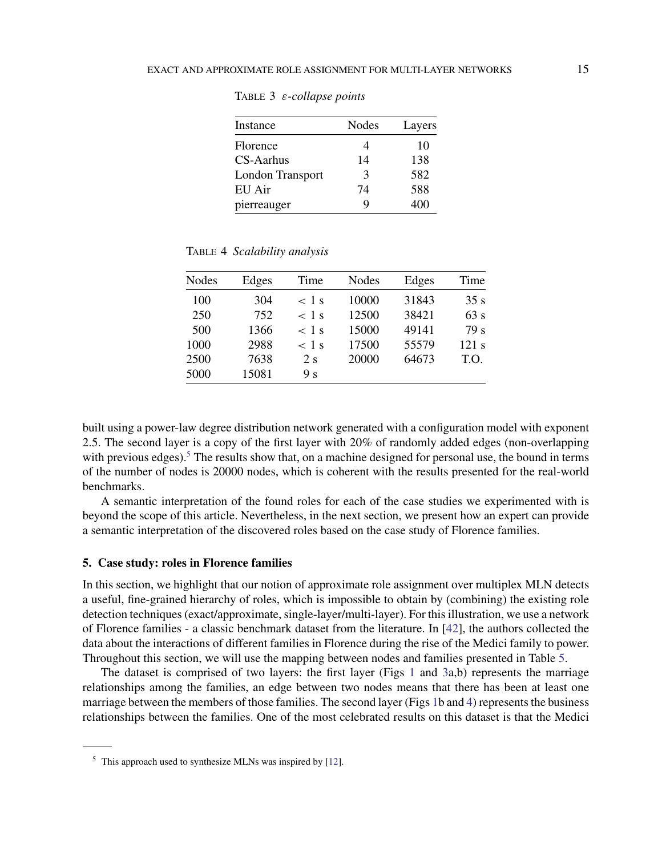| Instance         | Nodes         | Layers |
|------------------|---------------|--------|
| Florence         |               | 10     |
| CS-Aarhus        | 14            | 138    |
| London Transport | $\mathcal{R}$ | 582    |
| EU Air           | 74            | 588    |
| pierreauger      | Q             | 400    |

<span id="page-14-0"></span>Table 3 ε*-collapse points*

Table 4 *Scalability analysis*

| <b>Nodes</b> | Edges | Time           | Nodes | Edges | Time  |
|--------------|-------|----------------|-------|-------|-------|
| 100          | 304   | $<$ 1 s        | 10000 | 31843 | 35s   |
| 250          | 752   | $<$ 1 s        | 12500 | 38421 | 63 s  |
| 500          | 1366  | $<$ 1 s        | 15000 | 49141 | 79 s  |
| 1000         | 2988  | $<$ 1 s        | 17500 | 55579 | 121 s |
| 2500         | 7638  | 2 s            | 20000 | 64673 | T.O.  |
| 5000         | 15081 | 9 <sub>s</sub> |       |       |       |

built using a power-law degree distribution network generated with a configuration model with exponent 2.5. The second layer is a copy of the first layer with 20% of randomly added edges (non-overlapping with previous edges).<sup>5</sup> The results show that, on a machine designed for personal use, the bound in terms of the number of nodes is 20000 nodes, which is coherent with the results presented for the real-world benchmarks.

A semantic interpretation of the found roles for each of the case studies we experimented with is beyond the scope of this article. Nevertheless, in the next section, we present how an expert can provide a semantic interpretation of the discovered roles based on the case study of Florence families.

# **5. Case study: roles in Florence families**

In this section, we highlight that our notion of approximate role assignment over multiplex MLN detects a useful, fine-grained hierarchy of roles, which is impossible to obtain by (combining) the existing role detection techniques (exact/approximate, single-layer/multi-layer). For this illustration, we use a network of Florence families - a classic benchmark dataset from the literature. In [\[42](#page-22-0)], the authors collected the data about the interactions of different families in Florence during the rise of the Medici family to power. Throughout this section, we will use the mapping between nodes and families presented in Table [5.](#page-15-0)

The dataset is comprised of two layers: the first layer (Figs [1](#page-15-0) and [3a](#page-17-0),b) represents the marriage relationships among the families, an edge between two nodes means that there has been at least one marriage between the members of those families. The second layer (Figs [1b](#page-15-0) and [4\)](#page-18-0) represents the business relationships between the families. One of the most celebrated results on this dataset is that the Medici

 $<sup>5</sup>$  This approach used to synthesize MLNs was inspired by [\[12](#page-21-0)].</sup>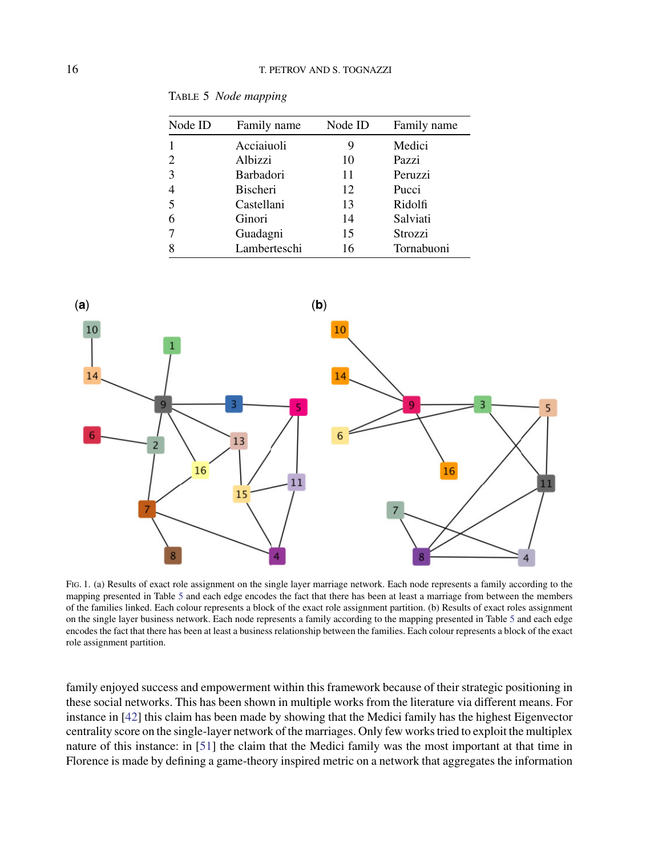| Node ID | Family name     | Node ID | Family name |
|---------|-----------------|---------|-------------|
|         | Acciaiuoli      | 9       | Medici      |
|         | Albizzi         | 10      | Pazzi       |
| 3       | Barbadori       | 11      | Peruzzi     |
| 4       | <b>Bischeri</b> | 12      | Pucci       |
| 5       | Castellani      | 13      | Ridolfi     |
| 6       | Ginori          | 14      | Salviati    |
|         | Guadagni        | 15      | Strozzi     |
|         | Lamberteschi    | 16      | Tornabuoni  |

<span id="page-15-0"></span>Table 5 *Node mapping*



Fig. 1. (a) Results of exact role assignment on the single layer marriage network. Each node represents a family according to the mapping presented in Table 5 and each edge encodes the fact that there has been at least a marriage from between the members of the families linked. Each colour represents a block of the exact role assignment partition. (b) Results of exact roles assignment on the single layer business network. Each node represents a family according to the mapping presented in Table 5 and each edge encodes the fact that there has been at least a business relationship between the families. Each colour represents a block of the exact role assignment partition.

family enjoyed success and empowerment within this framework because of their strategic positioning in these social networks. This has been shown in multiple works from the literature via different means. For instance in [\[42](#page-22-0)] this claim has been made by showing that the Medici family has the highest Eigenvector centrality score on the single-layer network of the marriages. Only few works tried to exploit the multiplex nature of this instance: in [\[51\]](#page-23-0) the claim that the Medici family was the most important at that time in Florence is made by defining a game-theory inspired metric on a network that aggregates the information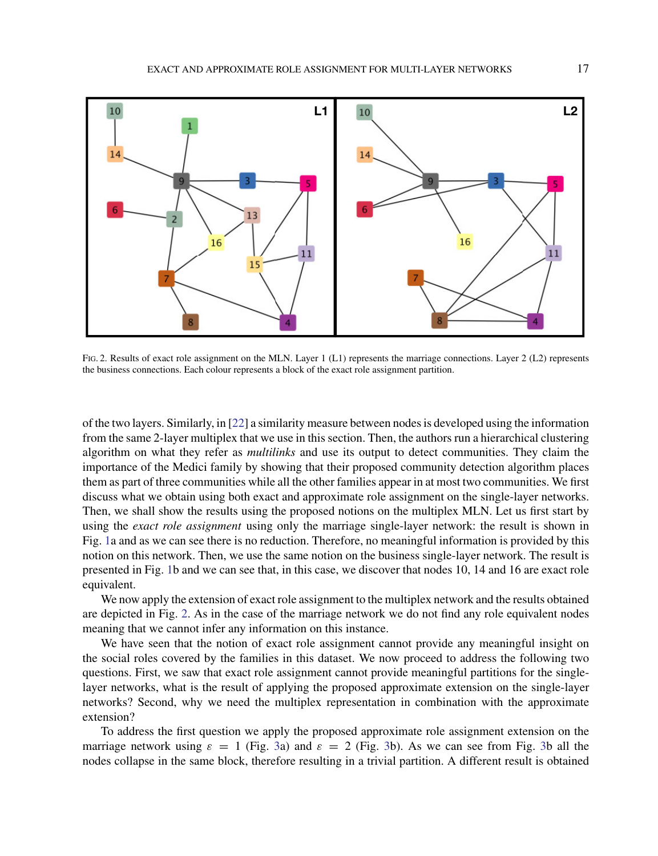<span id="page-16-0"></span>

FIG. 2. Results of exact role assignment on the MLN. Layer 1 (L1) represents the marriage connections. Layer 2 (L2) represents the business connections. Each colour represents a block of the exact role assignment partition.

of the two layers. Similarly, in [\[22](#page-22-0)] a similarity measure between nodes is developed using the information from the same 2-layer multiplex that we use in this section. Then, the authors run a hierarchical clustering algorithm on what they refer as *multilinks* and use its output to detect communities. They claim the importance of the Medici family by showing that their proposed community detection algorithm places them as part of three communities while all the other families appear in at most two communities. We first discuss what we obtain using both exact and approximate role assignment on the single-layer networks. Then, we shall show the results using the proposed notions on the multiplex MLN. Let us first start by using the *exact role assignment* using only the marriage single-layer network: the result is shown in Fig. [1a](#page-15-0) and as we can see there is no reduction. Therefore, no meaningful information is provided by this notion on this network. Then, we use the same notion on the business single-layer network. The result is presented in Fig. [1b](#page-15-0) and we can see that, in this case, we discover that nodes 10, 14 and 16 are exact role equivalent.

We now apply the extension of exact role assignment to the multiplex network and the results obtained are depicted in Fig. 2. As in the case of the marriage network we do not find any role equivalent nodes meaning that we cannot infer any information on this instance.

We have seen that the notion of exact role assignment cannot provide any meaningful insight on the social roles covered by the families in this dataset. We now proceed to address the following two questions. First, we saw that exact role assignment cannot provide meaningful partitions for the singlelayer networks, what is the result of applying the proposed approximate extension on the single-layer networks? Second, why we need the multiplex representation in combination with the approximate extension?

To address the first question we apply the proposed approximate role assignment extension on the marriage network using  $\varepsilon = 1$  (Fig. [3a](#page-17-0)) and  $\varepsilon = 2$  (Fig. [3b](#page-17-0)). As we can see from Fig. 3b all the nodes collapse in the same block, therefore resulting in a trivial partition. A different result is obtained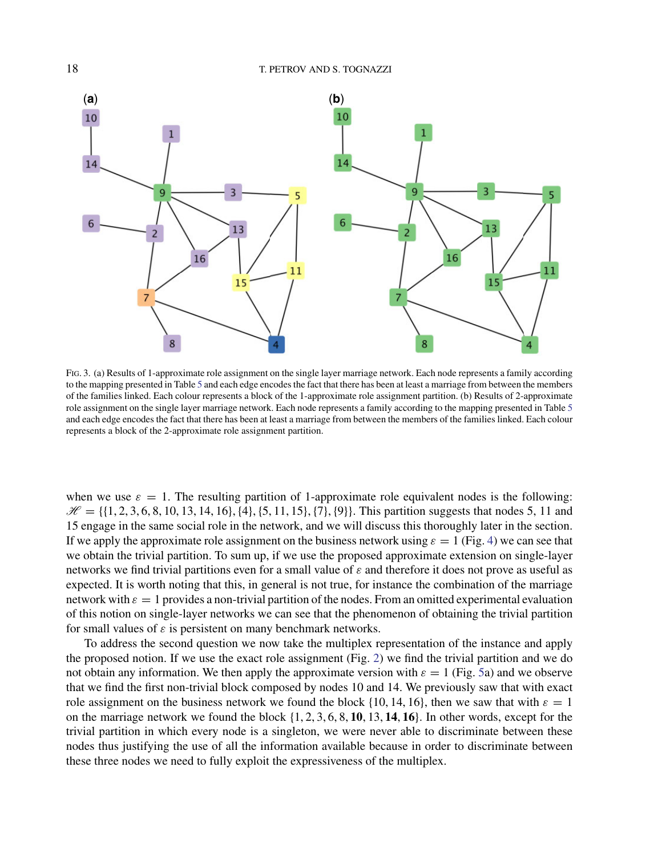<span id="page-17-0"></span>

Fig. 3. (a) Results of 1-approximate role assignment on the single layer marriage network. Each node represents a family according to the mapping presented in Table [5](#page-15-0) and each edge encodes the fact that there has been at least a marriage from between the members of the families linked. Each colour represents a block of the 1-approximate role assignment partition. (b) Results of 2-approximate role assignment on the single layer marriage network. Each node represents a family according to the mapping presented in Table [5](#page-15-0) and each edge encodes the fact that there has been at least a marriage from between the members of the families linked. Each colour represents a block of the 2-approximate role assignment partition.

when we use  $\varepsilon = 1$ . The resulting partition of 1-approximate role equivalent nodes is the following:  $\mathcal{H} = \{\{1, 2, 3, 6, 8, 10, 13, 14, 16\}, \{4\}, \{5, 11, 15\}, \{7\}, \{9\}\}.$  This partition suggests that nodes 5, 11 and 15 engage in the same social role in the network, and we will discuss this thoroughly later in the section. If we apply the approximate role assignment on the business network using  $\varepsilon = 1$  (Fig. [4\)](#page-18-0) we can see that we obtain the trivial partition. To sum up, if we use the proposed approximate extension on single-layer networks we find trivial partitions even for a small value of  $\varepsilon$  and therefore it does not prove as useful as expected. It is worth noting that this, in general is not true, for instance the combination of the marriage network with  $\varepsilon = 1$  provides a non-trivial partition of the nodes. From an omitted experimental evaluation of this notion on single-layer networks we can see that the phenomenon of obtaining the trivial partition for small values of  $\varepsilon$  is persistent on many benchmark networks.

To address the second question we now take the multiplex representation of the instance and apply the proposed notion. If we use the exact role assignment (Fig. [2\)](#page-16-0) we find the trivial partition and we do not obtain any information. We then apply the approximate version with  $\varepsilon = 1$  (Fig. [5a](#page-18-0)) and we observe that we find the first non-trivial block composed by nodes 10 and 14. We previously saw that with exact role assignment on the business network we found the block {10, 14, 16}, then we saw that with  $\varepsilon = 1$ on the marriage network we found the block {1, 2, 3, 6, 8, **10**, 13, **14**, **16**}. In other words, except for the trivial partition in which every node is a singleton, we were never able to discriminate between these nodes thus justifying the use of all the information available because in order to discriminate between these three nodes we need to fully exploit the expressiveness of the multiplex.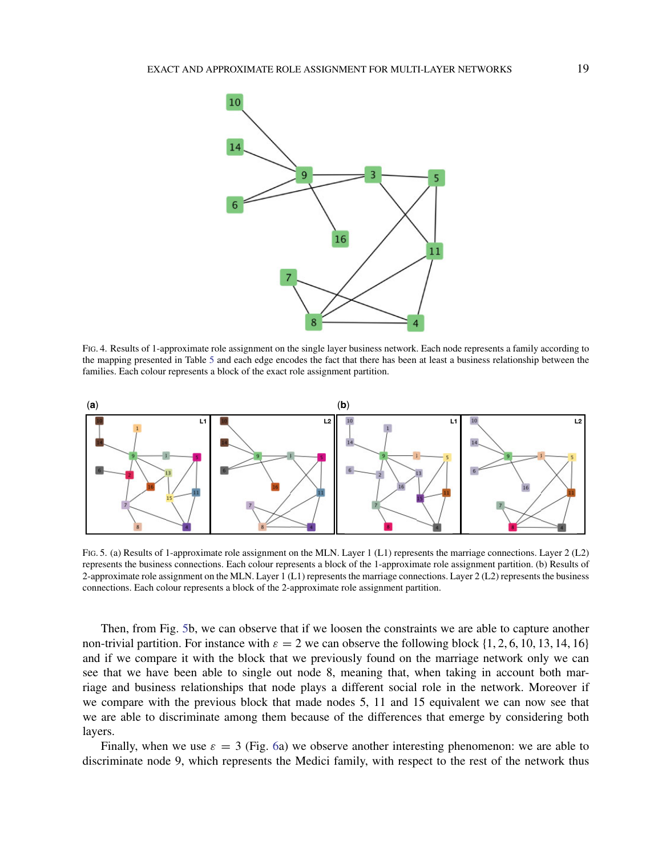<span id="page-18-0"></span>

Fig. 4. Results of 1-approximate role assignment on the single layer business network. Each node represents a family according to the mapping presented in Table [5](#page-15-0) and each edge encodes the fact that there has been at least a business relationship between the families. Each colour represents a block of the exact role assignment partition.



Fig. 5. (a) Results of 1-approximate role assignment on the MLN. Layer 1 (L1) represents the marriage connections. Layer 2 (L2) represents the business connections. Each colour represents a block of the 1-approximate role assignment partition. (b) Results of 2-approximate role assignment on the MLN. Layer 1 (L1) represents the marriage connections. Layer 2 (L2) represents the business connections. Each colour represents a block of the 2-approximate role assignment partition.

Then, from Fig. 5b, we can observe that if we loosen the constraints we are able to capture another non-trivial partition. For instance with  $\varepsilon = 2$  we can observe the following block {1, 2, 6, 10, 13, 14, 16} and if we compare it with the block that we previously found on the marriage network only we can see that we have been able to single out node 8, meaning that, when taking in account both marriage and business relationships that node plays a different social role in the network. Moreover if we compare with the previous block that made nodes 5, 11 and 15 equivalent we can now see that we are able to discriminate among them because of the differences that emerge by considering both layers.

Finally, when we use  $\varepsilon = 3$  (Fig. [6a](#page-19-0)) we observe another interesting phenomenon: we are able to discriminate node 9, which represents the Medici family, with respect to the rest of the network thus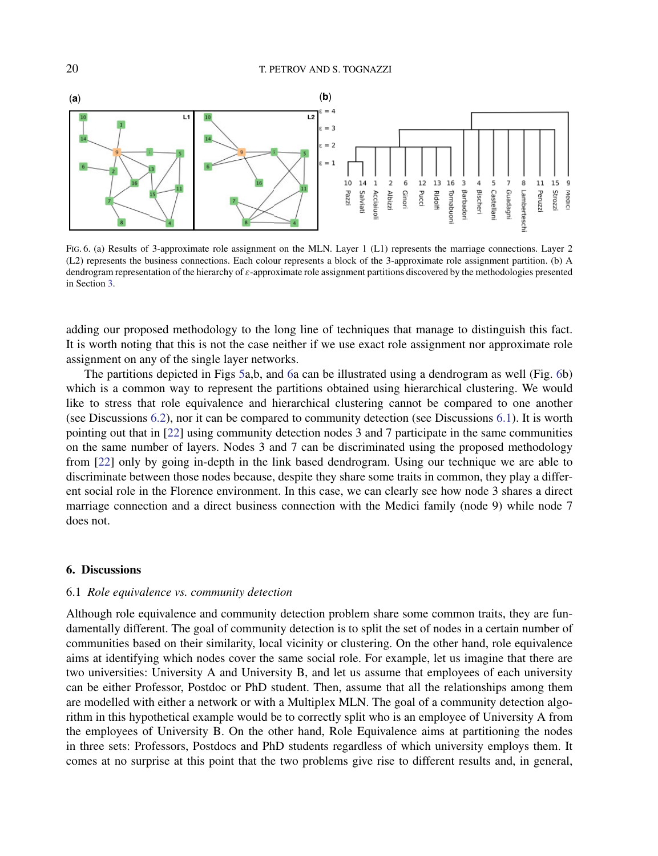<span id="page-19-0"></span>

Fig. 6. (a) Results of 3-approximate role assignment on the MLN. Layer 1 (L1) represents the marriage connections. Layer 2 (L2) represents the business connections. Each colour represents a block of the 3-approximate role assignment partition. (b) A dendrogram representation of the hierarchy of ε-approximate role assignment partitions discovered by the methodologies presented in Section [3.](#page-8-0)

adding our proposed methodology to the long line of techniques that manage to distinguish this fact. It is worth noting that this is not the case neither if we use exact role assignment nor approximate role assignment on any of the single layer networks.

The partitions depicted in Figs [5a](#page-18-0),b, and 6a can be illustrated using a dendrogram as well (Fig. 6b) which is a common way to represent the partitions obtained using hierarchical clustering. We would like to stress that role equivalence and hierarchical clustering cannot be compared to one another (see Discussions [6.2\)](#page-20-0), nor it can be compared to community detection (see Discussions 6.1). It is worth pointing out that in [\[22](#page-22-0)] using community detection nodes 3 and 7 participate in the same communities on the same number of layers. Nodes 3 and 7 can be discriminated using the proposed methodology from [\[22\]](#page-22-0) only by going in-depth in the link based dendrogram. Using our technique we are able to discriminate between those nodes because, despite they share some traits in common, they play a different social role in the Florence environment. In this case, we can clearly see how node 3 shares a direct marriage connection and a direct business connection with the Medici family (node 9) while node 7 does not.

### **6. Discussions**

#### 6.1 *Role equivalence vs. community detection*

Although role equivalence and community detection problem share some common traits, they are fundamentally different. The goal of community detection is to split the set of nodes in a certain number of communities based on their similarity, local vicinity or clustering. On the other hand, role equivalence aims at identifying which nodes cover the same social role. For example, let us imagine that there are two universities: University A and University B, and let us assume that employees of each university can be either Professor, Postdoc or PhD student. Then, assume that all the relationships among them are modelled with either a network or with a Multiplex MLN. The goal of a community detection algorithm in this hypothetical example would be to correctly split who is an employee of University A from the employees of University B. On the other hand, Role Equivalence aims at partitioning the nodes in three sets: Professors, Postdocs and PhD students regardless of which university employs them. It comes at no surprise at this point that the two problems give rise to different results and, in general,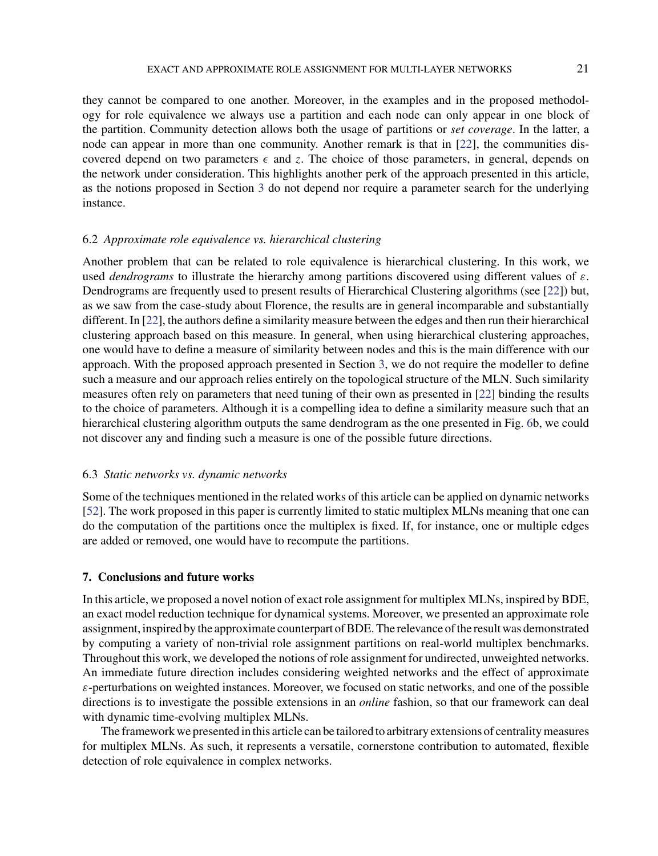<span id="page-20-0"></span>they cannot be compared to one another. Moreover, in the examples and in the proposed methodology for role equivalence we always use a partition and each node can only appear in one block of the partition. Community detection allows both the usage of partitions or *set coverage*. In the latter, a node can appear in more than one community. Another remark is that in [\[22](#page-22-0)], the communities discovered depend on two parameters  $\epsilon$  and *z*. The choice of those parameters, in general, depends on the network under consideration. This highlights another perk of the approach presented in this article, as the notions proposed in Section [3](#page-8-0) do not depend nor require a parameter search for the underlying instance.

## 6.2 *Approximate role equivalence vs. hierarchical clustering*

Another problem that can be related to role equivalence is hierarchical clustering. In this work, we used *dendrograms* to illustrate the hierarchy among partitions discovered using different values of ε. Dendrograms are frequently used to present results of Hierarchical Clustering algorithms (see [\[22\]](#page-22-0)) but, as we saw from the case-study about Florence, the results are in general incomparable and substantially different. In [\[22\]](#page-22-0), the authors define a similarity measure between the edges and then run their hierarchical clustering approach based on this measure. In general, when using hierarchical clustering approaches, one would have to define a measure of similarity between nodes and this is the main difference with our approach. With the proposed approach presented in Section [3,](#page-8-0) we do not require the modeller to define such a measure and our approach relies entirely on the topological structure of the MLN. Such similarity measures often rely on parameters that need tuning of their own as presented in [\[22](#page-22-0)] binding the results to the choice of parameters. Although it is a compelling idea to define a similarity measure such that an hierarchical clustering algorithm outputs the same dendrogram as the one presented in Fig. [6b](#page-19-0), we could not discover any and finding such a measure is one of the possible future directions.

### 6.3 *Static networks vs. dynamic networks*

Some of the techniques mentioned in the related works of this article can be applied on dynamic networks [\[52\]](#page-23-0). The work proposed in this paper is currently limited to static multiplex MLNs meaning that one can do the computation of the partitions once the multiplex is fixed. If, for instance, one or multiple edges are added or removed, one would have to recompute the partitions.

# **7. Conclusions and future works**

In this article, we proposed a novel notion of exact role assignment for multiplex MLNs, inspired by BDE, an exact model reduction technique for dynamical systems. Moreover, we presented an approximate role assignment, inspired by the approximate counterpart of BDE. The relevance of the result was demonstrated by computing a variety of non-trivial role assignment partitions on real-world multiplex benchmarks. Throughout this work, we developed the notions of role assignment for undirected, unweighted networks. An immediate future direction includes considering weighted networks and the effect of approximate  $\varepsilon$ -perturbations on weighted instances. Moreover, we focused on static networks, and one of the possible directions is to investigate the possible extensions in an *online* fashion, so that our framework can deal with dynamic time-evolving multiplex MLNs.

The framework we presented in this article can be tailored to arbitrary extensions of centrality measures for multiplex MLNs. As such, it represents a versatile, cornerstone contribution to automated, flexible detection of role equivalence in complex networks.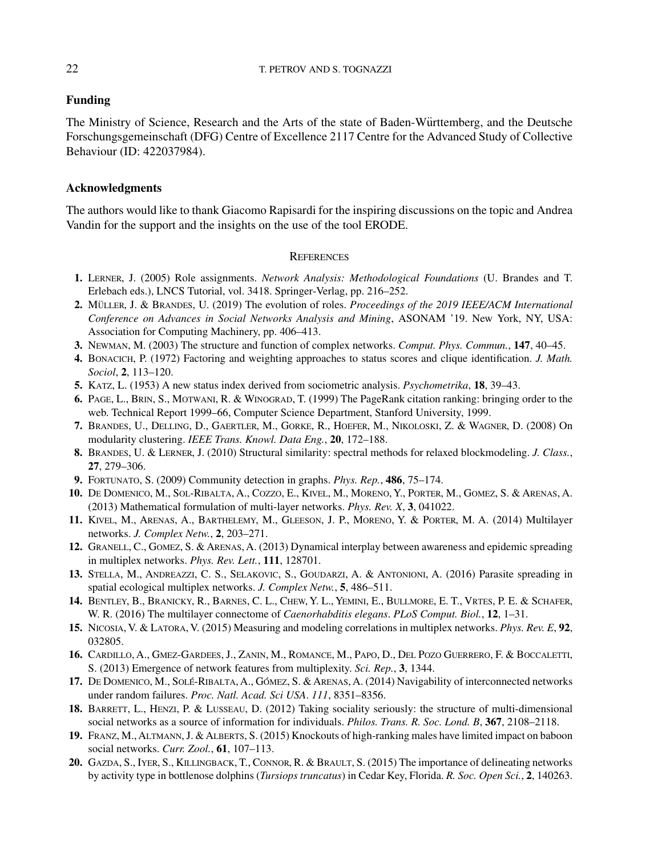# <span id="page-21-0"></span>**Funding**

The Ministry of Science, Research and the Arts of the state of Baden-Württemberg, and the Deutsche Forschungsgemeinschaft (DFG) Centre of Excellence 2117 Centre for the Advanced Study of Collective Behaviour (ID: 422037984).

# **Acknowledgments**

The authors would like to thank Giacomo Rapisardi for the inspiring discussions on the topic and Andrea Vandin for the support and the insights on the use of the tool ERODE.

### **REFERENCES**

- **1.** Lerner, J. (2005) Role assignments. *Network Analysis: Methodological Foundations* (U. Brandes and T. Erlebach eds.), LNCS Tutorial, vol. 3418. Springer-Verlag, pp. 216–252.
- **2.** MÜLLER, J. & BRANDES, U. (2019) The evolution of roles. *Proceedings of the 2019 IEEE/ACM International Conference on Advances in Social Networks Analysis and Mining*, ASONAM '19. New York, NY, USA: Association for Computing Machinery, pp. 406–413.
- **3.** Newman, M. (2003) The structure and function of complex networks. *Comput. Phys. Commun.*, **147**, 40–45.
- **4.** Bonacich, P. (1972) Factoring and weighting approaches to status scores and clique identification. *J. Math. Sociol*, **2**, 113–120.
- **5.** Katz, L. (1953) A new status index derived from sociometric analysis. *Psychometrika*, **18**, 39–43.
- **6.** Page, L., Brin, S., Motwani, R. & Winograd, T. (1999) The PageRank citation ranking: bringing order to the web. Technical Report 1999–66, Computer Science Department, Stanford University, 1999.
- **7.** Brandes, U., Delling, D., Gaertler, M., Gorke, R., Hoefer, M., Nikoloski, Z. & Wagner, D. (2008) On modularity clustering. *IEEE Trans. Knowl. Data Eng.*, **20**, 172–188.
- **8.** Brandes, U. & Lerner, J. (2010) Structural similarity: spectral methods for relaxed blockmodeling. *J. Class.*, **27**, 279–306.
- **9.** Fortunato, S. (2009) Community detection in graphs. *Phys. Rep.*, **486**, 75–174.
- **10.** De Domenico, M., Sol-Ribalta, A., Cozzo, E., Kivel, M., Moreno, Y., Porter, M., Gomez, S. & Arenas, A. (2013) Mathematical formulation of multi-layer networks. *Phys. Rev. X*, **3**, 041022.
- **11.** Kivel, M., Arenas, A., Barthelemy, M., Gleeson, J. P., Moreno, Y. & Porter, M. A. (2014) Multilayer networks. *J. Complex Netw.*, **2**, 203–271.
- **12.** Granell, C., Gomez, S. & Arenas, A. (2013) Dynamical interplay between awareness and epidemic spreading in multiplex networks. *Phys. Rev. Lett.*, **111**, 128701.
- **13.** Stella, M., Andreazzi, C. S., Selakovic, S., Goudarzi, A. & Antonioni, A. (2016) Parasite spreading in spatial ecological multiplex networks. *J. Complex Netw.*, **5**, 486–511.
- **14.** Bentley, B., Branicky, R., Barnes, C. L., Chew, Y. L., Yemini, E., Bullmore, E. T., Vrtes, P. E. & Schafer, W. R. (2016) The multilayer connectome of *Caenorhabditis elegans*. *PLoS Comput. Biol.*, **12**, 1–31.
- **15.** Nicosia, V. & Latora, V. (2015) Measuring and modeling correlations in multiplex networks. *Phys. Rev. E*, **92**, 032805.
- **16.** Cardillo, A., Gmez-Gardees, J., Zanin, M., Romance, M., Papo, D., Del Pozo Guerrero, F. & Boccaletti, S. (2013) Emergence of network features from multiplexity. *Sci. Rep.*, **3**, 1344.
- 17. DE DOMENICO, M., SOLÉ-RIBALTA, A., GÓMEZ, S. & ARENAS, A. (2014) Navigability of interconnected networks under random failures. *Proc. Natl. Acad. Sci USA*. *111*, 8351–8356.
- **18.** Barrett, L., Henzi, P. & Lusseau, D. (2012) Taking sociality seriously: the structure of multi-dimensional social networks as a source of information for individuals. *Philos. Trans. R. Soc. Lond. B*, **367**, 2108–2118.
- **19.** Franz, M., Altmann, J. & Alberts, S. (2015) Knockouts of high-ranking males have limited impact on baboon social networks. *Curr. Zool.*, **61**, 107–113.
- **20.** Gazda, S., Iyer, S., Killingback, T., Connor, R. & Brault, S. (2015) The importance of delineating networks by activity type in bottlenose dolphins (*Tursiops truncatus*) in Cedar Key, Florida. *R. Soc. Open Sci.*, **2**, 140263.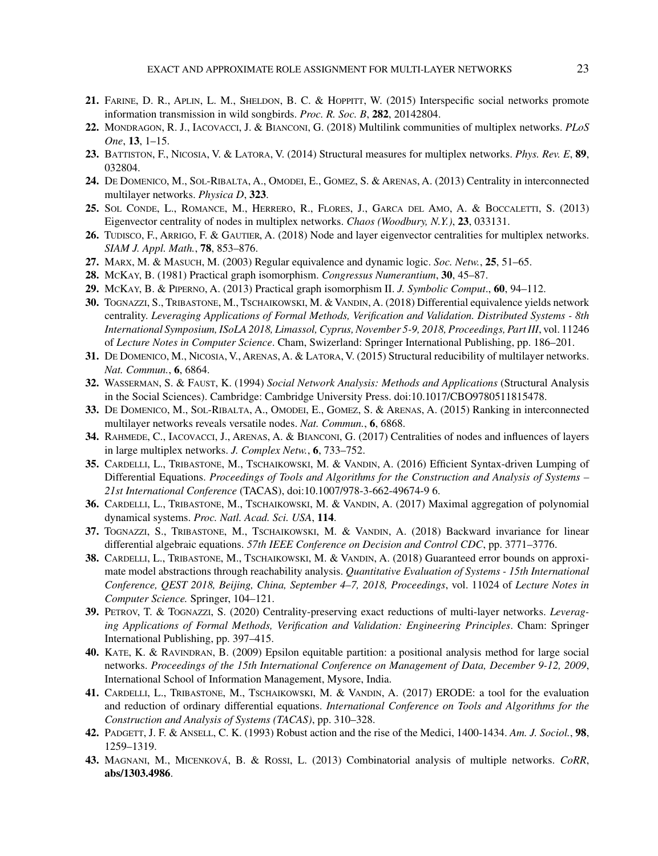- <span id="page-22-0"></span>**21.** Farine, D. R., Aplin, L. M., Sheldon, B. C. & Hoppitt, W. (2015) Interspecific social networks promote information transmission in wild songbirds. *Proc. R. Soc. B*, **282**, 20142804.
- **22.** Mondragon, R. J., Iacovacci, J. & Bianconi, G. (2018) Multilink communities of multiplex networks. *PLoS One*, **13**, 1–15.
- **23.** Battiston, F., Nicosia, V. & Latora, V. (2014) Structural measures for multiplex networks. *Phys. Rev. E*, **89**, 032804.
- **24.** De Domenico, M., Sol-Ribalta, A., Omodei, E., Gomez, S. & Arenas, A. (2013) Centrality in interconnected multilayer networks. *Physica D*, **323**.
- **25.** Sol Conde, L., Romance, M., Herrero, R., Flores, J., Garca del Amo, A. & Boccaletti, S. (2013) Eigenvector centrality of nodes in multiplex networks. *Chaos (Woodbury, N.Y.)*, **23**, 033131.
- 26. Tudisco, F., ARRIGO, F. & GAUTIER, A. (2018) Node and layer eigenvector centralities for multiplex networks. *SIAM J. Appl. Math.*, **78**, 853–876.
- **27.** Marx, M. & Masuch, M. (2003) Regular equivalence and dynamic logic. *Soc. Netw.*, **25**, 51–65.
- **28.** McKay, B. (1981) Practical graph isomorphism. *Congressus Numerantium*, **30**, 45–87.
- **29.** McKay, B. & Piperno, A. (2013) Practical graph isomorphism II. *J. Symbolic Comput*., **60**, 94–112.
- **30.** Tognazzi, S., Tribastone, M., Tschaikowski, M. & Vandin, A. (2018) Differential equivalence yields network centrality. *Leveraging Applications of Formal Methods, Verification and Validation. Distributed Systems - 8th International Symposium, ISoLA 2018, Limassol, Cyprus, November 5-9, 2018, Proceedings, Part III*, vol. 11246 of *Lecture Notes in Computer Science*. Cham, Swizerland: Springer International Publishing, pp. 186–201.
- **31.** De Domenico, M., Nicosia, V., Arenas, A. & Latora, V. (2015) Structural reducibility of multilayer networks. *Nat. Commun.*, **6**, 6864.
- **32.** Wasserman, S. & Faust, K. (1994) *Social Network Analysis: Methods and Applications* (Structural Analysis in the Social Sciences). Cambridge: Cambridge University Press. doi:10.1017/CBO9780511815478.
- **33.** De Domenico, M., Sol-Ribalta, A., Omodei, E., Gomez, S. & Arenas, A. (2015) Ranking in interconnected multilayer networks reveals versatile nodes. *Nat. Commun.*, **6**, 6868.
- **34.** Rahmede, C., Iacovacci, J., Arenas, A. & Bianconi, G. (2017) Centralities of nodes and influences of layers in large multiplex networks. *J. Complex Netw.*, **6**, 733–752.
- **35.** CARDELLI, L., TRIBASTONE, M., TSCHAIKOWSKI, M. & VANDIN, A. (2016) Efficient Syntax-driven Lumping of Differential Equations. *Proceedings of Tools and Algorithms for the Construction and Analysis of Systems – 21st International Conference* (TACAS), doi:10.1007/978-3-662-49674-9 6.
- **36.** Cardelli, L., Tribastone, M., Tschaikowski, M. & Vandin, A. (2017) Maximal aggregation of polynomial dynamical systems. *Proc. Natl. Acad. Sci. USA*, **114**.
- **37.** Tognazzi, S., Tribastone, M., Tschaikowski, M. & Vandin, A. (2018) Backward invariance for linear differential algebraic equations. *57th IEEE Conference on Decision and Control CDC*, pp. 3771–3776.
- **38.** Cardelli, L., Tribastone, M., Tschaikowski, M. & Vandin, A. (2018) Guaranteed error bounds on approximate model abstractions through reachability analysis. *Quantitative Evaluation of Systems - 15th International Conference, QEST 2018, Beijing, China, September 4–7, 2018, Proceedings*, vol. 11024 of *Lecture Notes in Computer Science.* Springer, 104–121.
- **39.** Petrov, T. & Tognazzi, S. (2020) Centrality-preserving exact reductions of multi-layer networks. *Leveraging Applications of Formal Methods, Verification and Validation: Engineering Principles*. Cham: Springer International Publishing, pp. 397–415.
- **40.** Kate, K. & Ravindran, B. (2009) Epsilon equitable partition: a positional analysis method for large social networks. *Proceedings of the 15th International Conference on Management of Data, December 9-12, 2009*, International School of Information Management, Mysore, India.
- **41.** Cardelli, L., Tribastone, M., Tschaikowski, M. & Vandin, A. (2017) ERODE: a tool for the evaluation and reduction of ordinary differential equations. *International Conference on Tools and Algorithms for the Construction and Analysis of Systems (TACAS)*, pp. 310–328.
- **42.** Padgett, J. F. & Ansell, C. K. (1993) Robust action and the rise of the Medici, 1400-1434. *Am. J. Sociol.*, **98**, 1259–1319.
- **43.** MAGNANI, M., MICENKOVÁ, B. & ROSSI, L. (2013) Combinatorial analysis of multiple networks. CoRR, **abs/1303.4986**.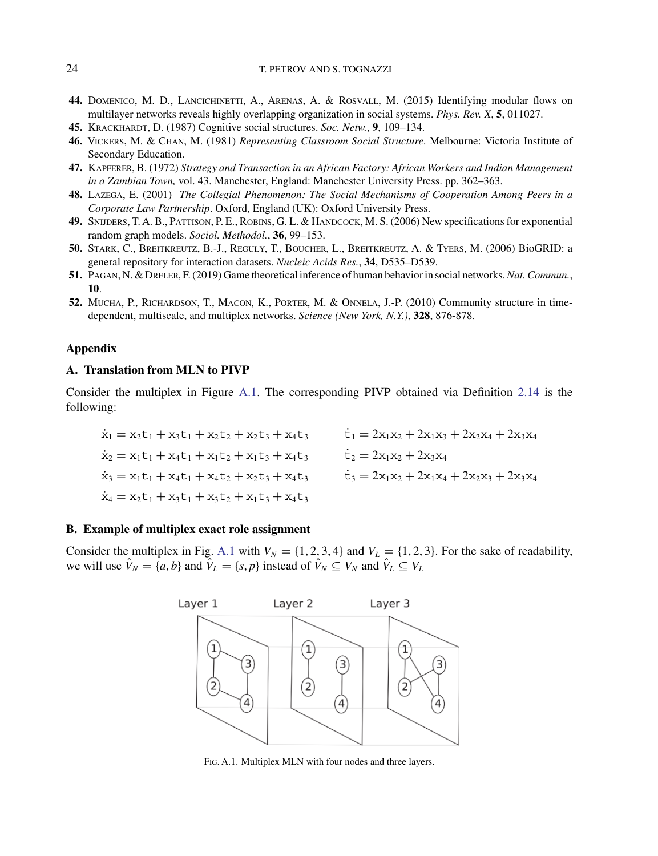- <span id="page-23-0"></span>**44.** Domenico, M. D., Lancichinetti, A., Arenas, A. & Rosvall, M. (2015) Identifying modular flows on multilayer networks reveals highly overlapping organization in social systems. *Phys. Rev. X*, **5**, 011027.
- **45.** Krackhardt, D. (1987) Cognitive social structures. *Soc. Netw.*, **9**, 109–134.
- **46.** Vickers, M. & Chan, M. (1981) *Representing Classroom Social Structure*. Melbourne: Victoria Institute of Secondary Education.
- **47.** Kapferer, B. (1972) *Strategy and Transaction in an African Factory: African Workers and Indian Management in a Zambian Town,* vol. 43. Manchester, England: Manchester University Press. pp. 362–363.
- **48.** Lazega, E. (2001) *The Collegial Phenomenon: The Social Mechanisms of Cooperation Among Peers in a Corporate Law Partnership*. Oxford, England (UK): Oxford University Press.
- **49.** Snijders, T. A. B., Pattison, P. E., Robins, G. L. & Handcock, M. S. (2006) New specifications for exponential random graph models. *Sociol. Methodol.*, **36**, 99–153.
- **50.** Stark, C., Breitkreutz, B.-J., Reguly, T., Boucher, L., Breitkreutz, A. & Tyers, M. (2006) BioGRID: a general repository for interaction datasets. *Nucleic Acids Res.*, **34**, D535–D539.
- **51.** Pagan, N. & Drfler, F.(2019) Game theoretical inference of human behavior in social networks.*Nat. Commun.*, **10**.
- **52.** Mucha, P., Richardson, T., Macon, K., Porter, M. & Onnela, J.-P. (2010) Community structure in timedependent, multiscale, and multiplex networks. *Science (New York, N.Y.)*, **328**, 876-878.

## **Appendix**

## **A. Translation from MLN to PIVP**

Consider the multiplex in Figure [A.1.](#page-15-0) The corresponding PIVP obtained via Definition [2.14](#page-6-0) is the following:

$$
\begin{aligned}\n\dot{x}_1 &= x_2 t_1 + x_3 t_1 + x_2 t_2 + x_2 t_3 + x_4 t_3 & \dot{t}_1 &= 2x_1 x_2 + 2x_1 x_3 + 2x_2 x_4 + 2x_3 x_4 \\
\dot{x}_2 &= x_1 t_1 + x_4 t_1 + x_1 t_2 + x_1 t_3 + x_4 t_3 & \dot{t}_2 &= 2x_1 x_2 + 2x_3 x_4 \\
\dot{x}_3 &= x_1 t_1 + x_4 t_1 + x_4 t_2 + x_2 t_3 + x_4 t_3 & \dot{t}_3 &= 2x_1 x_2 + 2x_1 x_4 + 2x_2 x_3 + 2x_3 x_4 \\
\dot{x}_4 &= x_2 t_1 + x_3 t_1 + x_3 t_2 + x_1 t_3 + x_4 t_3\n\end{aligned}
$$

#### **B. Example of multiplex exact role assignment**

Consider the multiplex in Fig. [A.1](#page-15-0) with  $V_N = \{1, 2, 3, 4\}$  and  $V_L = \{1, 2, 3\}$ . For the sake of readability, we will use  $\hat{V}_N = \{a, b\}$  and  $\hat{V}_L = \{s, p\}$  instead of  $\hat{V}_N \subseteq V_N$  and  $\hat{V}_L \subseteq V_L$ 



Fig. A.1. Multiplex MLN with four nodes and three layers.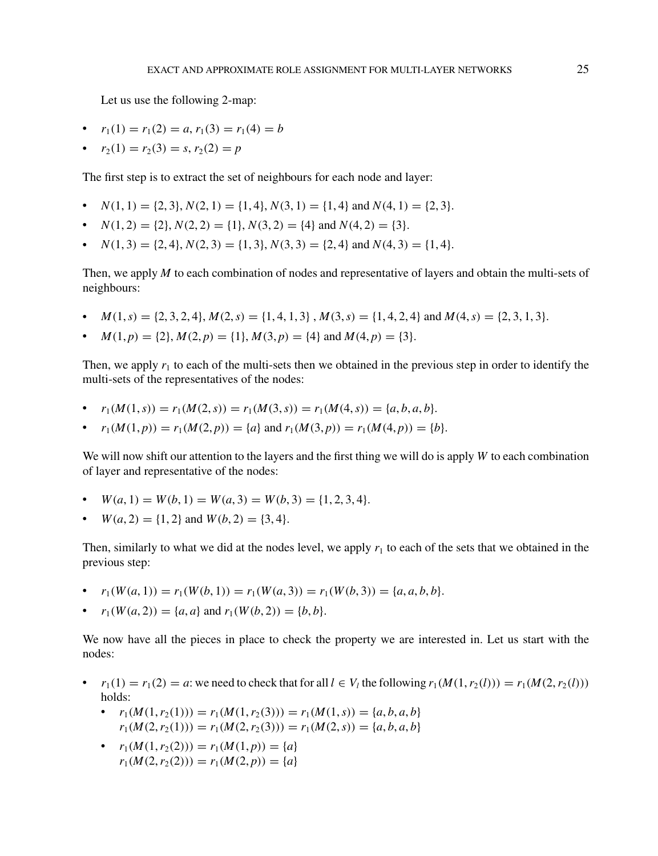Let us use the following 2-map:

- $r_1(1) = r_1(2) = a, r_1(3) = r_1(4) = b$
- $r_2(1) = r_2(3) = s$ ,  $r_2(2) = p$

The first step is to extract the set of neighbours for each node and layer:

- $N(1, 1) = \{2, 3\}, N(2, 1) = \{1, 4\}, N(3, 1) = \{1, 4\}$  and  $N(4, 1) = \{2, 3\}.$
- $N(1, 2) = \{2\}, N(2, 2) = \{1\}, N(3, 2) = \{4\}$  and  $N(4, 2) = \{3\}.$
- $N(1, 3) = \{2, 4\}, N(2, 3) = \{1, 3\}, N(3, 3) = \{2, 4\}$  and  $N(4, 3) = \{1, 4\}.$

Then, we apply *M* to each combination of nodes and representative of layers and obtain the multi-sets of neighbours:

- $M(1, s) = \{2, 3, 2, 4\}, M(2, s) = \{1, 4, 1, 3\}, M(3, s) = \{1, 4, 2, 4\}$  and  $M(4, s) = \{2, 3, 1, 3\}.$
- $M(1, p) = \{2\}, M(2, p) = \{1\}, M(3, p) = \{4\}$  and  $M(4, p) = \{3\}.$

Then, we apply  $r_1$  to each of the multi-sets then we obtained in the previous step in order to identify the multi-sets of the representatives of the nodes:

- $r_1(M(1,s)) = r_1(M(2,s)) = r_1(M(3,s)) = r_1(M(4,s)) = \{a, b, a, b\}.$
- $r_1(M(1, p)) = r_1(M(2, p)) = \{a\}$  and  $r_1(M(3, p)) = r_1(M(4, p)) = \{b\}.$

We will now shift our attention to the layers and the first thing we will do is apply *W* to each combination of layer and representative of the nodes:

- $W(a, 1) = W(b, 1) = W(a, 3) = W(b, 3) = \{1, 2, 3, 4\}.$
- $W(a, 2) = \{1, 2\}$  and  $W(b, 2) = \{3, 4\}.$

Then, similarly to what we did at the nodes level, we apply  $r_1$  to each of the sets that we obtained in the previous step:

- $r_1(W(a, 1)) = r_1(W(b, 1)) = r_1(W(a, 3)) = r_1(W(b, 3)) = \{a, a, b, b\}.$
- $r_1(W(a, 2)) = \{a, a\}$  and  $r_1(W(b, 2)) = \{b, b\}.$

We now have all the pieces in place to check the property we are interested in. Let us start with the nodes:

- $r_1(1) = r_1(2) = a$ : we need to check that for all  $l \in V_l$  the following  $r_1(M(1, r_2(l))) = r_1(M(2, r_2(l)))$ holds:
	- $r_1(M(1, r_2(1))) = r_1(M(1, r_2(3))) = r_1(M(1, s)) = \{a, b, a, b\}$  $r_1(M(2, r_2(1))) = r_1(M(2, r_2(3))) = r_1(M(2, s)) = \{a, b, a, b\}$
	- $r_1(M(1, r_2(2))) = r_1(M(1, p)) = \{a\}$  $r_1(M(2, r_2(2))) = r_1(M(2, p)) = \{a\}$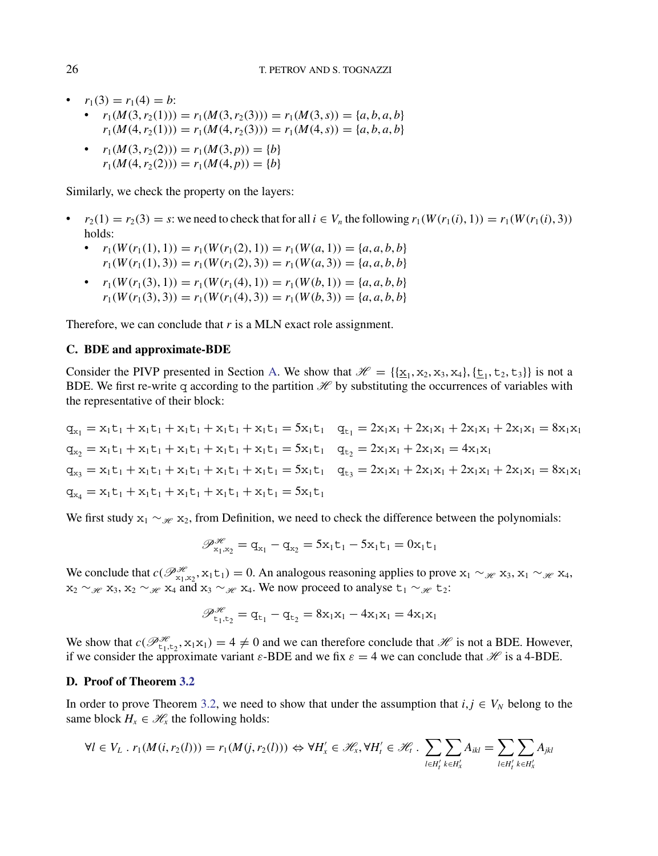- $r_1(3) = r_1(4) = b$ :
	- $r_1(M(3, r_2(1))) = r_1(M(3, r_2(3))) = r_1(M(3, s)) = \{a, b, a, b\}$  $r_1(M(4, r_2(1))) = r_1(M(4, r_2(3))) = r_1(M(4, s)) = \{a, b, a, b\}$
	- $r_1(M(3, r_2(2))) = r_1(M(3, p)) = \{b\}$  $r_1(M(4, r_2(2))) = r_1(M(4, p)) = \{b\}$

Similarly, we check the property on the layers:

- $r_2(1) = r_2(3) = s$ : we need to check that for all  $i \in V_n$  the following  $r_1(W(r_1(i), 1)) = r_1(W(r_1(i), 3))$ holds:
	- $r_1(W(r_1(1), 1)) = r_1(W(r_1(2), 1)) = r_1(W(a, 1)) = \{a, a, b, b\}$  $r_1(W(r_1(1), 3)) = r_1(W(r_1(2), 3)) = r_1(W(a, 3)) = \{a, a, b, b\}$
	- $r_1(W(r_1(3), 1)) = r_1(W(r_1(4), 1)) = r_1(W(b, 1)) = \{a, a, b, b\}$  $r_1(W(r_1(3), 3)) = r_1(W(r_1(4), 3)) = r_1(W(b, 3)) = \{a, a, b, b\}$

Therefore, we can conclude that *r* is a MLN exact role assignment.

## **C. BDE and approximate-BDE**

Consider the PIVP presented in Section [A.](#page-0-0) We show that  $\mathcal{H} = \{\{x_1, x_2, x_3, x_4\}, \{t_1, t_2, t_3\}\}\$ is not a BDE. We first re-write q according to the partition  $H$  by substituting the occurrences of variables with the representative of their block:

 $q_{x_1} = x_1t_1 + x_1t_1 + x_1t_1 + x_1t_1 + x_1t_1 = 5x_1t_1$   $q_{t_1} = 2x_1x_1 + 2x_1x_1 + 2x_1x_1 + 2x_1x_1 = 8x_1x_1$  $q_{x2} = x_1t_1 + x_1t_1 + x_1t_1 + x_1t_1 + x_1t_1 = 5x_1t_1$   $q_{t2} = 2x_1x_1 + 2x_1x_1 = 4x_1x_1$  $q_{x3} = x_1t_1 + x_1t_1 + x_1t_1 + x_1t_1 + x_1t_1 = 5x_1t_1$   $q_{t3} = 2x_1x_1 + 2x_1x_1 + 2x_1x_1 + 2x_1x_1 = 8x_1x_1$  $q_{x4} = x_1t_1 + x_1t_1 + x_1t_1 + x_1t_1 + x_1t_1 = 5x_1t_1$ 

We first study  $x_1 \sim_{\mathcal{H}} x_2$ , from Definition, we need to check the difference between the polynomials:

$$
\mathscr{P}^{\mathscr{H}}_{x_1,x_2} = q_{x_1} - q_{x_2} = 5x_1t_1 - 5x_1t_1 = 0x_1t_1
$$

We conclude that  $c(\mathcal{P}_{x_1,x_2}^{\mathcal{H}}, x_1t_1) = 0$ . An analogous reasoning applies to prove  $x_1 \sim_{\mathcal{H}} x_3$ ,  $x_1 \sim_{\mathcal{H}} x_4$ ,  $x_2 \sim_{\mathcal{H}} x_3$ ,  $x_2 \sim_{\mathcal{H}} x_4$  and  $x_3 \sim_{\mathcal{H}} x_4$ . We now proceed to analyse  $t_1 \sim_{\mathcal{H}} t_2$ :

$$
\mathscr{P}_{t_1,t_2}^{\mathscr{H}} = q_{t_1} - q_{t_2} = 8x_1x_1 - 4x_1x_1 = 4x_1x_1
$$

We show that  $c(\mathcal{P}_{t_1,t_2}^{H}, x_1x_1) = 4 \neq 0$  and we can therefore conclude that  $H$  is not a BDE. However, if we consider the approximate variant  $\varepsilon$ -BDE and we fix  $\varepsilon = 4$  we can conclude that  $\mathcal{H}$  is a 4-BDE.

#### **D. Proof of Theorem [3.2](#page-9-0)**

In order to prove Theorem [3.2,](#page-9-0) we need to show that under the assumption that  $i, j \in V_N$  belong to the same block  $H_x \in \mathcal{H}_x$  the following holds:

$$
\forall l \in V_L \; . \; r_1(M(i, r_2(l))) = r_1(M(j, r_2(l))) \Leftrightarrow \forall H'_x \in \mathcal{H}_x, \forall H'_t \in \mathcal{H}_t \; . \; \sum_{l \in H'_t} \sum_{k \in H'_x} A_{ikl} = \sum_{l \in H'_t} \sum_{k \in H'_x} A_{jkl}
$$